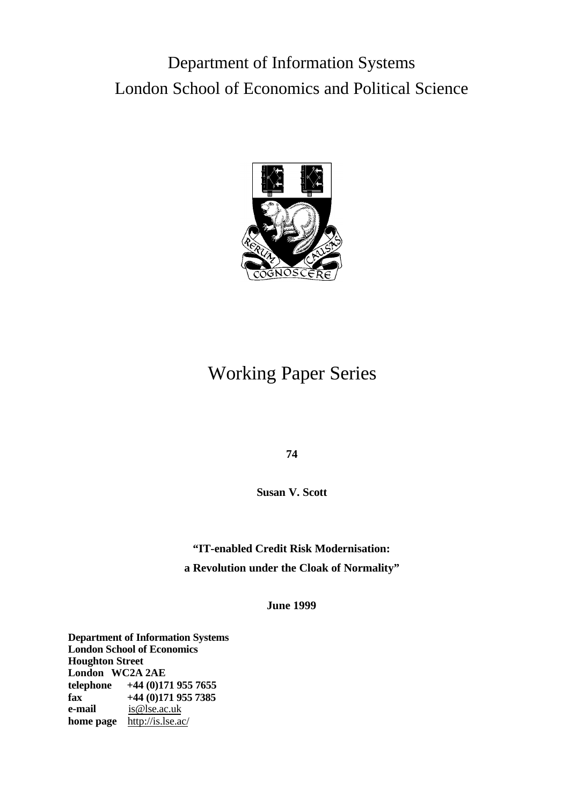## Department of Information Systems London School of Economics and Political Science



## Working Paper Series

**74**

**Susan V. Scott**

### **"IT-enabled Credit Risk Modernisation: a Revolution under the Cloak of Normality"**

**June 1999**

**Department of Information Systems London School of Economics Houghton Street London WC2A 2AE telephone +44 (0)171 955 7655 fax** +44 (0)171 955 7385<br> **e-mail** is @lse.ac.uk **e-mail** is@lse.ac.uk **home page** http://is.lse.ac/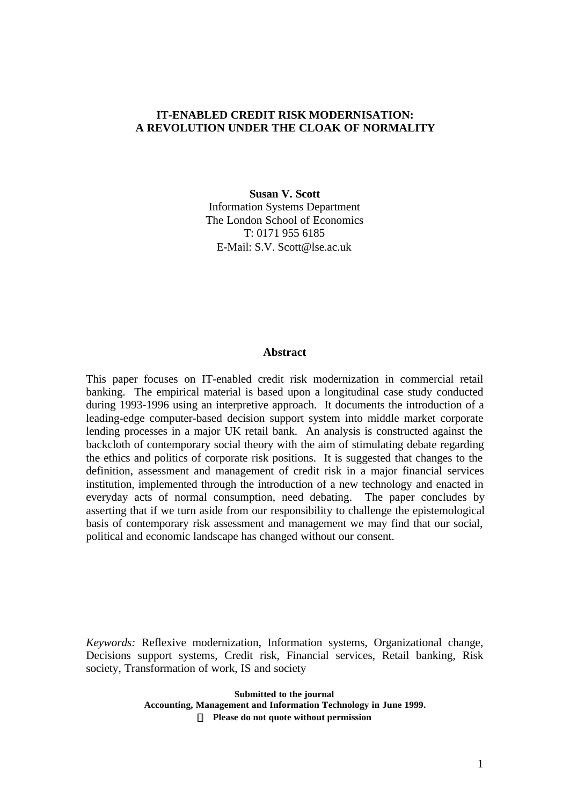#### **IT-ENABLED CREDIT RISK MODERNISATION: A REVOLUTION UNDER THE CLOAK OF NORMALITY**

**Susan V. Scott** Information Systems Department The London School of Economics T: 0171 955 6185 E-Mail: S.V. Scott@lse.ac.uk

#### **Abstract**

This paper focuses on IT-enabled credit risk modernization in commercial retail banking. The empirical material is based upon a longitudinal case study conducted during 1993-1996 using an interpretive approach. It documents the introduction of a leading-edge computer-based decision support system into middle market corporate lending processes in a major UK retail bank. An analysis is constructed against the backcloth of contemporary social theory with the aim of stimulating debate regarding the ethics and politics of corporate risk positions. It is suggested that changes to the definition, assessment and management of credit risk in a major financial services institution, implemented through the introduction of a new technology and enacted in everyday acts of normal consumption, need debating. The paper concludes by asserting that if we turn aside from our responsibility to challenge the epistemological basis of contemporary risk assessment and management we may find that our social, political and economic landscape has changed without our consent.

*Keywords:* Reflexive modernization, Information systems, Organizational change, Decisions support systems, Credit risk, Financial services, Retail banking, Risk society, Transformation of work, IS and society

> **Submitted to the journal Accounting, Management and Information Technology in June 1999. ã Please do not quote without permission**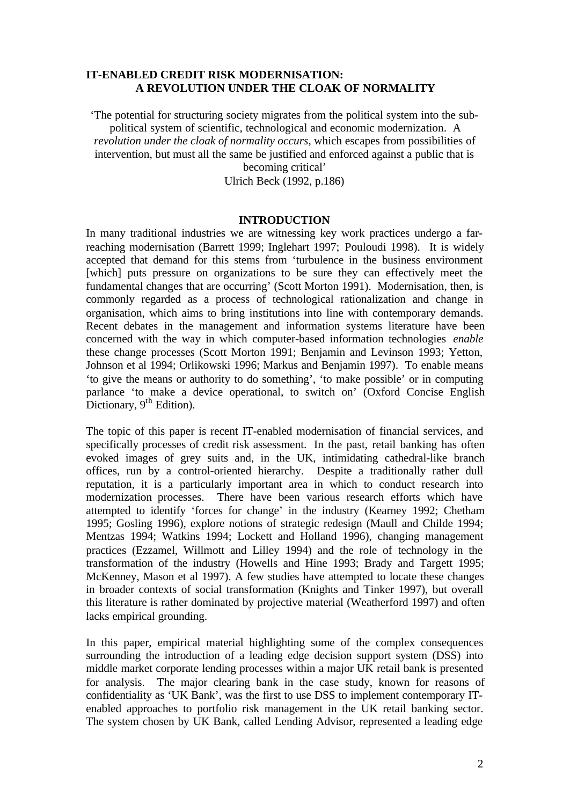#### **IT-ENABLED CREDIT RISK MODERNISATION: A REVOLUTION UNDER THE CLOAK OF NORMALITY**

'The potential for structuring society migrates from the political system into the subpolitical system of scientific, technological and economic modernization. A *revolution under the cloak of normality occurs,* which escapes from possibilities of intervention, but must all the same be justified and enforced against a public that is becoming critical'

Ulrich Beck (1992, p.186)

#### **INTRODUCTION**

In many traditional industries we are witnessing key work practices undergo a farreaching modernisation (Barrett 1999; Inglehart 1997; Pouloudi 1998). It is widely accepted that demand for this stems from 'turbulence in the business environment [which] puts pressure on organizations to be sure they can effectively meet the fundamental changes that are occurring' (Scott Morton 1991). Modernisation, then, is commonly regarded as a process of technological rationalization and change in organisation, which aims to bring institutions into line with contemporary demands. Recent debates in the management and information systems literature have been concerned with the way in which computer-based information technologies *enable* these change processes (Scott Morton 1991; Benjamin and Levinson 1993; Yetton, Johnson et al 1994; Orlikowski 1996; Markus and Benjamin 1997). To enable means 'to give the means or authority to do something', 'to make possible' or in computing parlance 'to make a device operational, to switch on' (Oxford Concise English Dictionary,  $9<sup>th</sup>$  Edition).

The topic of this paper is recent IT-enabled modernisation of financial services, and specifically processes of credit risk assessment. In the past, retail banking has often evoked images of grey suits and, in the UK, intimidating cathedral-like branch offices, run by a control-oriented hierarchy. Despite a traditionally rather dull reputation, it is a particularly important area in which to conduct research into modernization processes. There have been various research efforts which have attempted to identify 'forces for change' in the industry (Kearney 1992; Chetham 1995; Gosling 1996), explore notions of strategic redesign (Maull and Childe 1994; Mentzas 1994; Watkins 1994; Lockett and Holland 1996), changing management practices (Ezzamel, Willmott and Lilley 1994) and the role of technology in the transformation of the industry (Howells and Hine 1993; Brady and Targett 1995; McKenney, Mason et al 1997). A few studies have attempted to locate these changes in broader contexts of social transformation (Knights and Tinker 1997), but overall this literature is rather dominated by projective material (Weatherford 1997) and often lacks empirical grounding.

In this paper, empirical material highlighting some of the complex consequences surrounding the introduction of a leading edge decision support system (DSS) into middle market corporate lending processes within a major UK retail bank is presented for analysis. The major clearing bank in the case study, known for reasons of confidentiality as 'UK Bank', was the first to use DSS to implement contemporary ITenabled approaches to portfolio risk management in the UK retail banking sector. The system chosen by UK Bank, called Lending Advisor, represented a leading edge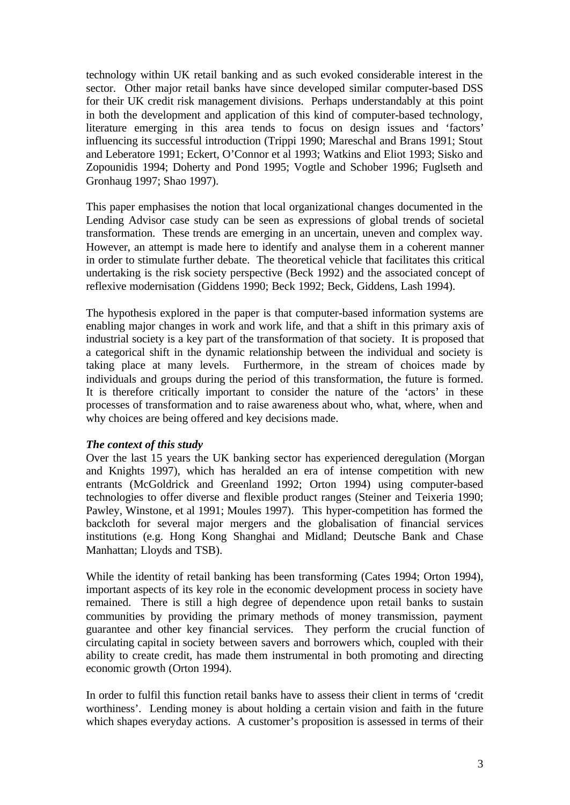technology within UK retail banking and as such evoked considerable interest in the sector. Other major retail banks have since developed similar computer-based DSS for their UK credit risk management divisions. Perhaps understandably at this point in both the development and application of this kind of computer-based technology, literature emerging in this area tends to focus on design issues and 'factors' influencing its successful introduction (Trippi 1990; Mareschal and Brans 1991; Stout and Leberatore 1991; Eckert, O'Connor et al 1993; Watkins and Eliot 1993; Sisko and Zopounidis 1994; Doherty and Pond 1995; Vogtle and Schober 1996; Fuglseth and Gronhaug 1997; Shao 1997).

This paper emphasises the notion that local organizational changes documented in the Lending Advisor case study can be seen as expressions of global trends of societal transformation. These trends are emerging in an uncertain, uneven and complex way. However, an attempt is made here to identify and analyse them in a coherent manner in order to stimulate further debate. The theoretical vehicle that facilitates this critical undertaking is the risk society perspective (Beck 1992) and the associated concept of reflexive modernisation (Giddens 1990; Beck 1992; Beck, Giddens, Lash 1994).

The hypothesis explored in the paper is that computer-based information systems are enabling major changes in work and work life, and that a shift in this primary axis of industrial society is a key part of the transformation of that society. It is proposed that a categorical shift in the dynamic relationship between the individual and society is taking place at many levels. Furthermore, in the stream of choices made by individuals and groups during the period of this transformation, the future is formed. It is therefore critically important to consider the nature of the 'actors' in these processes of transformation and to raise awareness about who, what, where, when and why choices are being offered and key decisions made.

#### *The context of this study*

Over the last 15 years the UK banking sector has experienced deregulation (Morgan and Knights 1997), which has heralded an era of intense competition with new entrants (McGoldrick and Greenland 1992; Orton 1994) using computer-based technologies to offer diverse and flexible product ranges (Steiner and Teixeria 1990; Pawley, Winstone, et al 1991; Moules 1997). This hyper-competition has formed the backcloth for several major mergers and the globalisation of financial services institutions (e.g. Hong Kong Shanghai and Midland; Deutsche Bank and Chase Manhattan; Lloyds and TSB).

While the identity of retail banking has been transforming (Cates 1994; Orton 1994), important aspects of its key role in the economic development process in society have remained. There is still a high degree of dependence upon retail banks to sustain communities by providing the primary methods of money transmission, payment guarantee and other key financial services. They perform the crucial function of circulating capital in society between savers and borrowers which, coupled with their ability to create credit, has made them instrumental in both promoting and directing economic growth (Orton 1994).

In order to fulfil this function retail banks have to assess their client in terms of 'credit worthiness'. Lending money is about holding a certain vision and faith in the future which shapes everyday actions. A customer's proposition is assessed in terms of their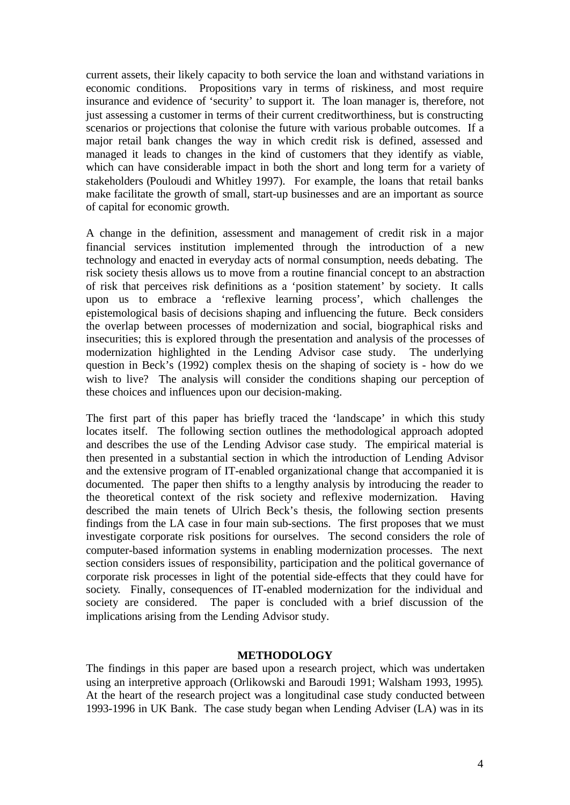current assets, their likely capacity to both service the loan and withstand variations in economic conditions. Propositions vary in terms of riskiness, and most require insurance and evidence of 'security' to support it. The loan manager is, therefore, not just assessing a customer in terms of their current creditworthiness, but is constructing scenarios or projections that colonise the future with various probable outcomes. If a major retail bank changes the way in which credit risk is defined, assessed and managed it leads to changes in the kind of customers that they identify as viable, which can have considerable impact in both the short and long term for a variety of stakeholders (Pouloudi and Whitley 1997). For example, the loans that retail banks make facilitate the growth of small, start-up businesses and are an important as source of capital for economic growth.

A change in the definition, assessment and management of credit risk in a major financial services institution implemented through the introduction of a new technology and enacted in everyday acts of normal consumption, needs debating. The risk society thesis allows us to move from a routine financial concept to an abstraction of risk that perceives risk definitions as a 'position statement' by society. It calls upon us to embrace a 'reflexive learning process', which challenges the epistemological basis of decisions shaping and influencing the future. Beck considers the overlap between processes of modernization and social, biographical risks and insecurities; this is explored through the presentation and analysis of the processes of modernization highlighted in the Lending Advisor case study. The underlying question in Beck's (1992) complex thesis on the shaping of society is - how do we wish to live? The analysis will consider the conditions shaping our perception of these choices and influences upon our decision-making.

The first part of this paper has briefly traced the 'landscape' in which this study locates itself. The following section outlines the methodological approach adopted and describes the use of the Lending Advisor case study. The empirical material is then presented in a substantial section in which the introduction of Lending Advisor and the extensive program of IT-enabled organizational change that accompanied it is documented. The paper then shifts to a lengthy analysis by introducing the reader to the theoretical context of the risk society and reflexive modernization. Having described the main tenets of Ulrich Beck's thesis, the following section presents findings from the LA case in four main sub-sections. The first proposes that we must investigate corporate risk positions for ourselves. The second considers the role of computer-based information systems in enabling modernization processes. The next section considers issues of responsibility, participation and the political governance of corporate risk processes in light of the potential side-effects that they could have for society. Finally, consequences of IT-enabled modernization for the individual and society are considered. The paper is concluded with a brief discussion of the implications arising from the Lending Advisor study.

#### **METHODOLOGY**

The findings in this paper are based upon a research project, which was undertaken using an interpretive approach (Orlikowski and Baroudi 1991; Walsham 1993, 1995). At the heart of the research project was a longitudinal case study conducted between 1993-1996 in UK Bank. The case study began when Lending Adviser (LA) was in its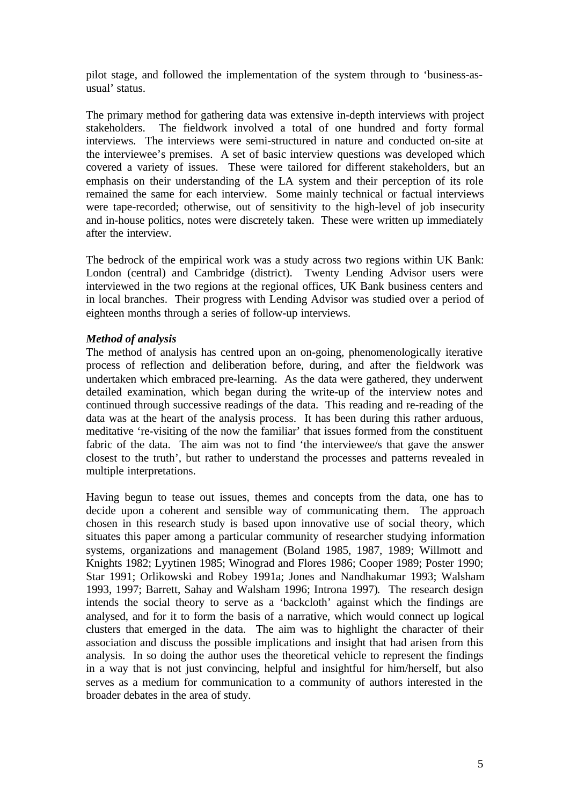pilot stage, and followed the implementation of the system through to 'business-asusual' status.

The primary method for gathering data was extensive in-depth interviews with project stakeholders. The fieldwork involved a total of one hundred and forty formal interviews. The interviews were semi-structured in nature and conducted on-site at the interviewee's premises. A set of basic interview questions was developed which covered a variety of issues. These were tailored for different stakeholders, but an emphasis on their understanding of the LA system and their perception of its role remained the same for each interview. Some mainly technical or factual interviews were tape-recorded; otherwise, out of sensitivity to the high-level of job insecurity and in-house politics, notes were discretely taken. These were written up immediately after the interview.

The bedrock of the empirical work was a study across two regions within UK Bank: London (central) and Cambridge (district). Twenty Lending Advisor users were interviewed in the two regions at the regional offices, UK Bank business centers and in local branches. Their progress with Lending Advisor was studied over a period of eighteen months through a series of follow-up interviews.

#### *Method of analysis*

The method of analysis has centred upon an on-going, phenomenologically iterative process of reflection and deliberation before, during, and after the fieldwork was undertaken which embraced pre-learning. As the data were gathered, they underwent detailed examination, which began during the write-up of the interview notes and continued through successive readings of the data. This reading and re-reading of the data was at the heart of the analysis process. It has been during this rather arduous, meditative 're-visiting of the now the familiar' that issues formed from the constituent fabric of the data. The aim was not to find 'the interviewee/s that gave the answer closest to the truth', but rather to understand the processes and patterns revealed in multiple interpretations.

Having begun to tease out issues, themes and concepts from the data, one has to decide upon a coherent and sensible way of communicating them. The approach chosen in this research study is based upon innovative use of social theory, which situates this paper among a particular community of researcher studying information systems, organizations and management (Boland 1985, 1987, 1989; Willmott and Knights 1982; Lyytinen 1985; Winograd and Flores 1986; Cooper 1989; Poster 1990; Star 1991; Orlikowski and Robey 1991a; Jones and Nandhakumar 1993; Walsham 1993, 1997; Barrett, Sahay and Walsham 1996; Introna 1997). The research design intends the social theory to serve as a 'backcloth' against which the findings are analysed, and for it to form the basis of a narrative, which would connect up logical clusters that emerged in the data. The aim was to highlight the character of their association and discuss the possible implications and insight that had arisen from this analysis. In so doing the author uses the theoretical vehicle to represent the findings in a way that is not just convincing, helpful and insightful for him/herself, but also serves as a medium for communication to a community of authors interested in the broader debates in the area of study.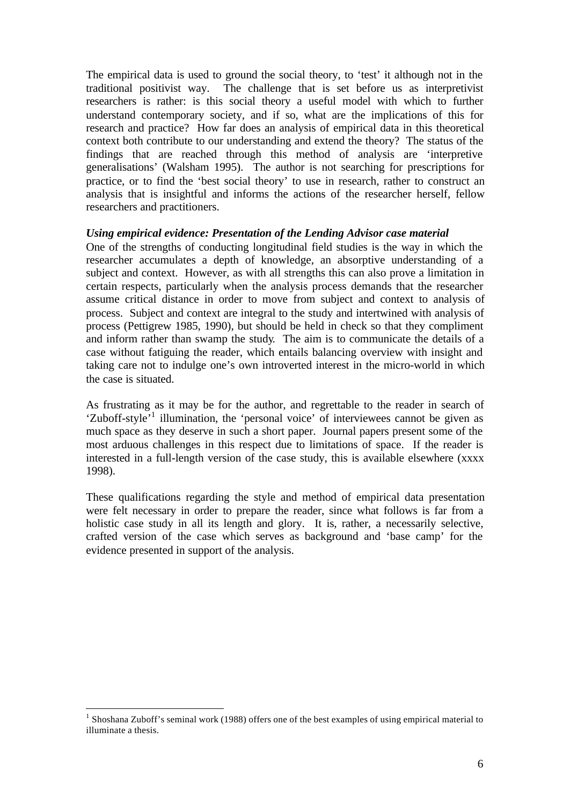The empirical data is used to ground the social theory, to 'test' it although not in the traditional positivist way. The challenge that is set before us as interpretivist researchers is rather: is this social theory a useful model with which to further understand contemporary society, and if so, what are the implications of this for research and practice? How far does an analysis of empirical data in this theoretical context both contribute to our understanding and extend the theory? The status of the findings that are reached through this method of analysis are 'interpretive generalisations' (Walsham 1995). The author is not searching for prescriptions for practice, or to find the 'best social theory' to use in research, rather to construct an analysis that is insightful and informs the actions of the researcher herself, fellow researchers and practitioners.

#### *Using empirical evidence: Presentation of the Lending Advisor case material*

One of the strengths of conducting longitudinal field studies is the way in which the researcher accumulates a depth of knowledge, an absorptive understanding of a subject and context. However, as with all strengths this can also prove a limitation in certain respects, particularly when the analysis process demands that the researcher assume critical distance in order to move from subject and context to analysis of process. Subject and context are integral to the study and intertwined with analysis of process (Pettigrew 1985, 1990), but should be held in check so that they compliment and inform rather than swamp the study. The aim is to communicate the details of a case without fatiguing the reader, which entails balancing overview with insight and taking care not to indulge one's own introverted interest in the micro-world in which the case is situated.

As frustrating as it may be for the author, and regrettable to the reader in search of 'Zuboff-style<sup>'1</sup> illumination, the 'personal voice' of interviewees cannot be given as much space as they deserve in such a short paper. Journal papers present some of the most arduous challenges in this respect due to limitations of space. If the reader is interested in a full-length version of the case study, this is available elsewhere (xxxx 1998).

These qualifications regarding the style and method of empirical data presentation were felt necessary in order to prepare the reader, since what follows is far from a holistic case study in all its length and glory. It is, rather, a necessarily selective, crafted version of the case which serves as background and 'base camp' for the evidence presented in support of the analysis.

l <sup>1</sup> Shoshana Zuboff's seminal work (1988) offers one of the best examples of using empirical material to illuminate a thesis.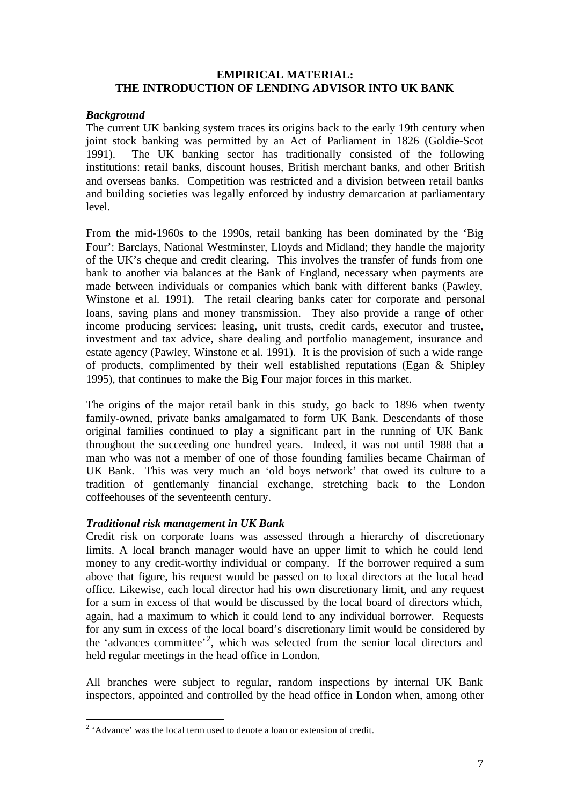#### **EMPIRICAL MATERIAL: THE INTRODUCTION OF LENDING ADVISOR INTO UK BANK**

#### *Background*

The current UK banking system traces its origins back to the early 19th century when joint stock banking was permitted by an Act of Parliament in 1826 (Goldie-Scot 1991). The UK banking sector has traditionally consisted of the following institutions: retail banks, discount houses, British merchant banks, and other British and overseas banks. Competition was restricted and a division between retail banks and building societies was legally enforced by industry demarcation at parliamentary level.

From the mid-1960s to the 1990s, retail banking has been dominated by the 'Big Four': Barclays, National Westminster, Lloyds and Midland; they handle the majority of the UK's cheque and credit clearing. This involves the transfer of funds from one bank to another via balances at the Bank of England, necessary when payments are made between individuals or companies which bank with different banks (Pawley, Winstone et al. 1991). The retail clearing banks cater for corporate and personal loans, saving plans and money transmission. They also provide a range of other income producing services: leasing, unit trusts, credit cards, executor and trustee, investment and tax advice, share dealing and portfolio management, insurance and estate agency (Pawley, Winstone et al. 1991). It is the provision of such a wide range of products, complimented by their well established reputations (Egan & Shipley 1995), that continues to make the Big Four major forces in this market.

The origins of the major retail bank in this study, go back to 1896 when twenty family-owned, private banks amalgamated to form UK Bank. Descendants of those original families continued to play a significant part in the running of UK Bank throughout the succeeding one hundred years. Indeed, it was not until 1988 that a man who was not a member of one of those founding families became Chairman of UK Bank. This was very much an 'old boys network' that owed its culture to a tradition of gentlemanly financial exchange, stretching back to the London coffeehouses of the seventeenth century.

#### *Traditional risk management in UK Bank*

l

Credit risk on corporate loans was assessed through a hierarchy of discretionary limits. A local branch manager would have an upper limit to which he could lend money to any credit-worthy individual or company. If the borrower required a sum above that figure, his request would be passed on to local directors at the local head office. Likewise, each local director had his own discretionary limit, and any request for a sum in excess of that would be discussed by the local board of directors which, again, had a maximum to which it could lend to any individual borrower. Requests for any sum in excess of the local board's discretionary limit would be considered by the 'advances committee'<sup>2</sup>, which was selected from the senior local directors and held regular meetings in the head office in London.

All branches were subject to regular, random inspections by internal UK Bank inspectors, appointed and controlled by the head office in London when, among other

 $2$  'Advance' was the local term used to denote a loan or extension of credit.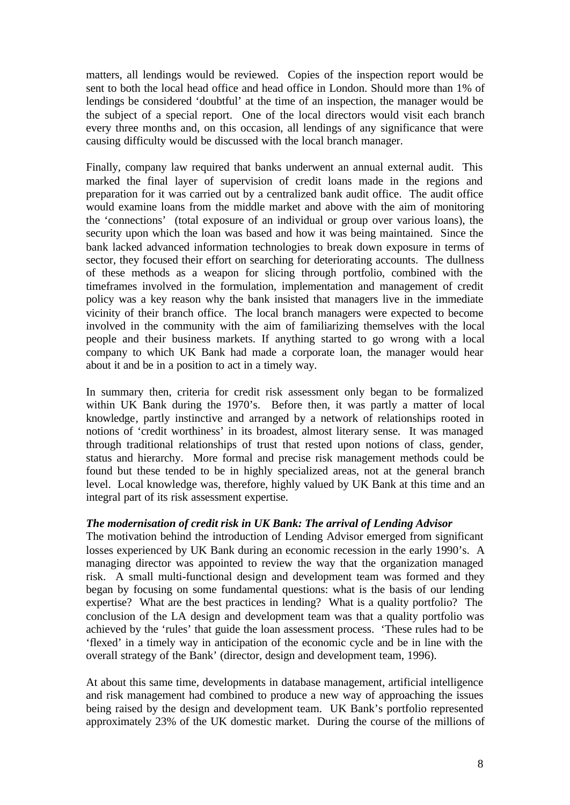matters, all lendings would be reviewed. Copies of the inspection report would be sent to both the local head office and head office in London. Should more than 1% of lendings be considered 'doubtful' at the time of an inspection, the manager would be the subject of a special report. One of the local directors would visit each branch every three months and, on this occasion, all lendings of any significance that were causing difficulty would be discussed with the local branch manager.

Finally, company law required that banks underwent an annual external audit. This marked the final layer of supervision of credit loans made in the regions and preparation for it was carried out by a centralized bank audit office. The audit office would examine loans from the middle market and above with the aim of monitoring the 'connections' (total exposure of an individual or group over various loans), the security upon which the loan was based and how it was being maintained. Since the bank lacked advanced information technologies to break down exposure in terms of sector, they focused their effort on searching for deteriorating accounts. The dullness of these methods as a weapon for slicing through portfolio, combined with the timeframes involved in the formulation, implementation and management of credit policy was a key reason why the bank insisted that managers live in the immediate vicinity of their branch office. The local branch managers were expected to become involved in the community with the aim of familiarizing themselves with the local people and their business markets. If anything started to go wrong with a local company to which UK Bank had made a corporate loan, the manager would hear about it and be in a position to act in a timely way.

In summary then, criteria for credit risk assessment only began to be formalized within UK Bank during the 1970's. Before then, it was partly a matter of local knowledge, partly instinctive and arranged by a network of relationships rooted in notions of 'credit worthiness' in its broadest, almost literary sense. It was managed through traditional relationships of trust that rested upon notions of class, gender, status and hierarchy. More formal and precise risk management methods could be found but these tended to be in highly specialized areas, not at the general branch level. Local knowledge was, therefore, highly valued by UK Bank at this time and an integral part of its risk assessment expertise.

#### *The modernisation of credit risk in UK Bank: The arrival of Lending Advisor*

The motivation behind the introduction of Lending Advisor emerged from significant losses experienced by UK Bank during an economic recession in the early 1990's. A managing director was appointed to review the way that the organization managed risk. A small multi-functional design and development team was formed and they began by focusing on some fundamental questions: what is the basis of our lending expertise? What are the best practices in lending? What is a quality portfolio? The conclusion of the LA design and development team was that a quality portfolio was achieved by the 'rules' that guide the loan assessment process. 'These rules had to be 'flexed' in a timely way in anticipation of the economic cycle and be in line with the overall strategy of the Bank' (director, design and development team, 1996).

At about this same time, developments in database management, artificial intelligence and risk management had combined to produce a new way of approaching the issues being raised by the design and development team. UK Bank's portfolio represented approximately 23% of the UK domestic market. During the course of the millions of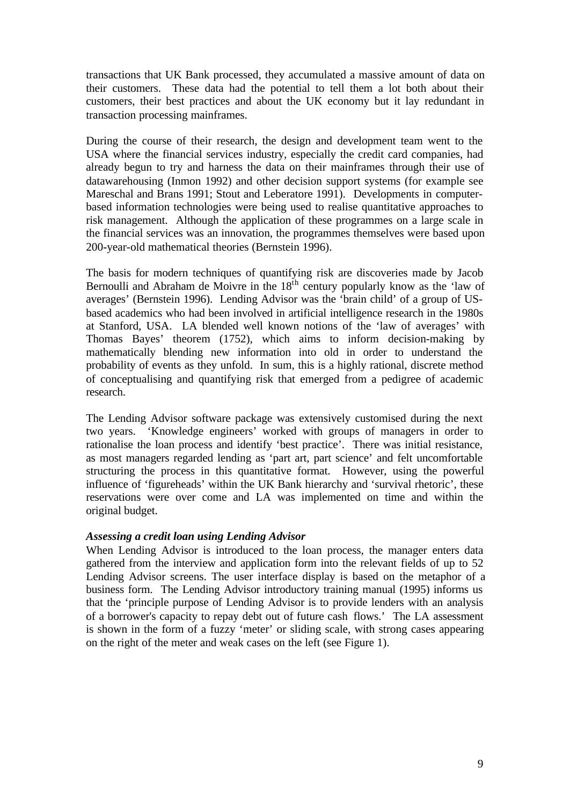transactions that UK Bank processed, they accumulated a massive amount of data on their customers. These data had the potential to tell them a lot both about their customers, their best practices and about the UK economy but it lay redundant in transaction processing mainframes.

During the course of their research, the design and development team went to the USA where the financial services industry, especially the credit card companies, had already begun to try and harness the data on their mainframes through their use of datawarehousing (Inmon 1992) and other decision support systems (for example see Mareschal and Brans 1991; Stout and Leberatore 1991). Developments in computerbased information technologies were being used to realise quantitative approaches to risk management. Although the application of these programmes on a large scale in the financial services was an innovation, the programmes themselves were based upon 200-year-old mathematical theories (Bernstein 1996).

The basis for modern techniques of quantifying risk are discoveries made by Jacob Bernoulli and Abraham de Moivre in the  $18<sup>th</sup>$  century popularly know as the 'law of averages' (Bernstein 1996). Lending Advisor was the 'brain child' of a group of USbased academics who had been involved in artificial intelligence research in the 1980s at Stanford, USA. LA blended well known notions of the 'law of averages' with Thomas Bayes' theorem (1752), which aims to inform decision-making by mathematically blending new information into old in order to understand the probability of events as they unfold. In sum, this is a highly rational, discrete method of conceptualising and quantifying risk that emerged from a pedigree of academic research.

The Lending Advisor software package was extensively customised during the next two years. 'Knowledge engineers' worked with groups of managers in order to rationalise the loan process and identify 'best practice'. There was initial resistance, as most managers regarded lending as 'part art, part science' and felt uncomfortable structuring the process in this quantitative format. However, using the powerful influence of 'figureheads' within the UK Bank hierarchy and 'survival rhetoric', these reservations were over come and LA was implemented on time and within the original budget.

#### *Assessing a credit loan using Lending Advisor*

When Lending Advisor is introduced to the loan process, the manager enters data gathered from the interview and application form into the relevant fields of up to 52 Lending Advisor screens. The user interface display is based on the metaphor of a business form. The Lending Advisor introductory training manual (1995) informs us that the 'principle purpose of Lending Advisor is to provide lenders with an analysis of a borrower's capacity to repay debt out of future cash flows.' The LA assessment is shown in the form of a fuzzy 'meter' or sliding scale, with strong cases appearing on the right of the meter and weak cases on the left (see Figure 1).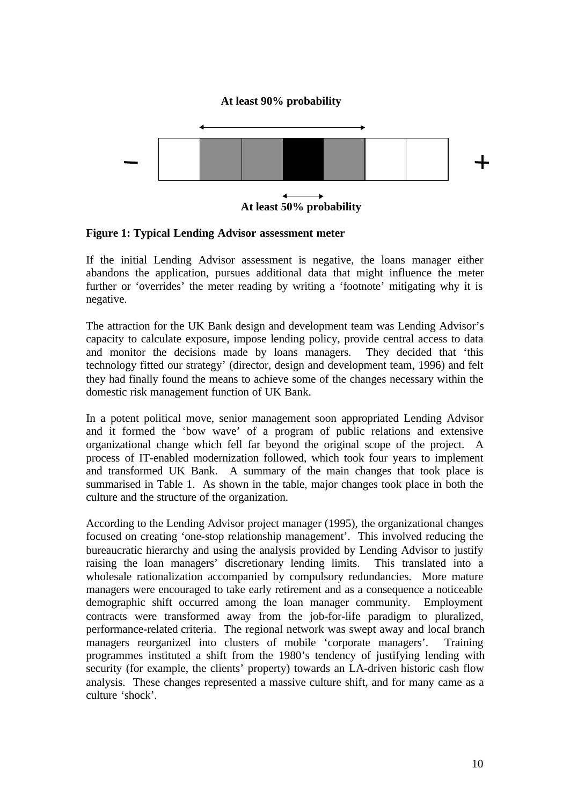# **At least 90% probability At least 50% probability**

#### **Figure 1: Typical Lending Advisor assessment meter**

If the initial Lending Advisor assessment is negative, the loans manager either abandons the application, pursues additional data that might influence the meter further or 'overrides' the meter reading by writing a 'footnote' mitigating why it is negative.

The attraction for the UK Bank design and development team was Lending Advisor's capacity to calculate exposure, impose lending policy, provide central access to data and monitor the decisions made by loans managers. They decided that 'this technology fitted our strategy' (director, design and development team, 1996) and felt they had finally found the means to achieve some of the changes necessary within the domestic risk management function of UK Bank.

In a potent political move, senior management soon appropriated Lending Advisor and it formed the 'bow wave' of a program of public relations and extensive organizational change which fell far beyond the original scope of the project. A process of IT-enabled modernization followed, which took four years to implement and transformed UK Bank. A summary of the main changes that took place is summarised in Table 1. As shown in the table, major changes took place in both the culture and the structure of the organization.

According to the Lending Advisor project manager (1995), the organizational changes focused on creating 'one-stop relationship management'. This involved reducing the bureaucratic hierarchy and using the analysis provided by Lending Advisor to justify raising the loan managers' discretionary lending limits. This translated into a wholesale rationalization accompanied by compulsory redundancies. More mature managers were encouraged to take early retirement and as a consequence a noticeable demographic shift occurred among the loan manager community. Employment contracts were transformed away from the job-for-life paradigm to pluralized, performance-related criteria. The regional network was swept away and local branch managers reorganized into clusters of mobile 'corporate managers'. Training programmes instituted a shift from the 1980's tendency of justifying lending with security (for example, the clients' property) towards an LA-driven historic cash flow analysis. These changes represented a massive culture shift, and for many came as a culture 'shock'.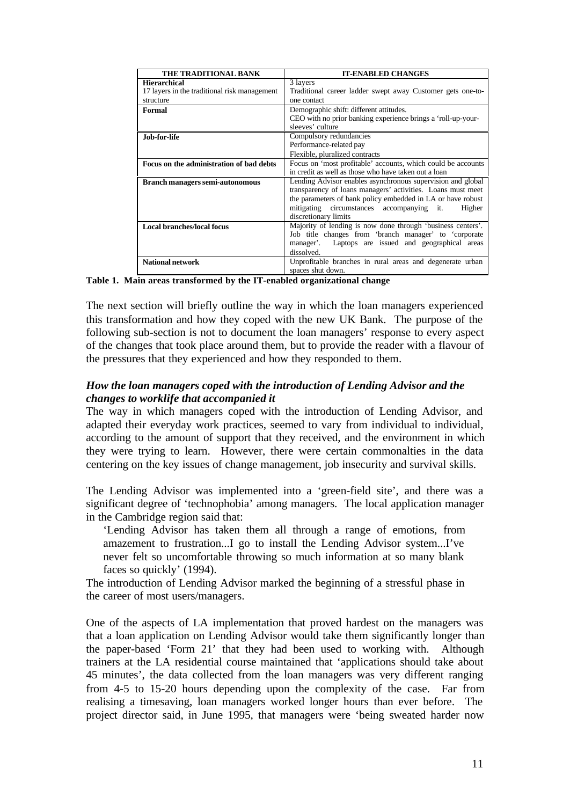| THE TRADITIONAL BANK                         | <b>IT-ENABLED CHANGES</b>                                    |
|----------------------------------------------|--------------------------------------------------------------|
| <b>Hierarchical</b>                          | 3 layers                                                     |
| 17 layers in the traditional risk management | Traditional career ladder swept away Customer gets one-to-   |
| structure                                    | one contact                                                  |
| Formal                                       | Demographic shift: different attitudes.                      |
|                                              | CEO with no prior banking experience brings a 'roll-up-your- |
|                                              | sleeves' culture                                             |
| Job-for-life                                 | Compulsory redundancies                                      |
|                                              | Performance-related pay                                      |
|                                              | Flexible, pluralized contracts                               |
| Focus on the administration of bad debts     | Focus on 'most profitable' accounts, which could be accounts |
|                                              | in credit as well as those who have taken out a loan         |
| <b>Branch managers semi-autonomous</b>       | Lending Advisor enables asynchronous supervision and global  |
|                                              | transparency of loans managers' activities. Loans must meet  |
|                                              | the parameters of bank policy embedded in LA or have robust  |
|                                              | mitigating circumstances accompanying it.<br>Higher          |
|                                              | discretionary limits                                         |
| <b>Local branches/local focus</b>            | Majority of lending is now done through 'business centers'.  |
|                                              | Job title changes from 'branch manager' to 'corporate        |
|                                              | Laptops are issued and geographical areas<br>manager'.       |
|                                              | dissolved.                                                   |
| <b>National network</b>                      | Unprofitable branches in rural areas and degenerate urban    |
|                                              | spaces shut down.                                            |

**Table 1. Main areas transformed by the IT-enabled organizational change**

The next section will briefly outline the way in which the loan managers experienced this transformation and how they coped with the new UK Bank. The purpose of the following sub-section is not to document the loan managers' response to every aspect of the changes that took place around them, but to provide the reader with a flavour of the pressures that they experienced and how they responded to them.

#### *How the loan managers coped with the introduction of Lending Advisor and the changes to worklife that accompanied it*

The way in which managers coped with the introduction of Lending Advisor, and adapted their everyday work practices, seemed to vary from individual to individual, according to the amount of support that they received, and the environment in which they were trying to learn. However, there were certain commonalties in the data centering on the key issues of change management, job insecurity and survival skills.

The Lending Advisor was implemented into a 'green-field site', and there was a significant degree of 'technophobia' among managers. The local application manager in the Cambridge region said that:

'Lending Advisor has taken them all through a range of emotions, from amazement to frustration...I go to install the Lending Advisor system...I've never felt so uncomfortable throwing so much information at so many blank faces so quickly' (1994).

The introduction of Lending Advisor marked the beginning of a stressful phase in the career of most users/managers.

One of the aspects of LA implementation that proved hardest on the managers was that a loan application on Lending Advisor would take them significantly longer than the paper-based 'Form 21' that they had been used to working with. Although trainers at the LA residential course maintained that 'applications should take about 45 minutes', the data collected from the loan managers was very different ranging from 4-5 to 15-20 hours depending upon the complexity of the case. Far from realising a timesaving, loan managers worked longer hours than ever before. The project director said, in June 1995, that managers were 'being sweated harder now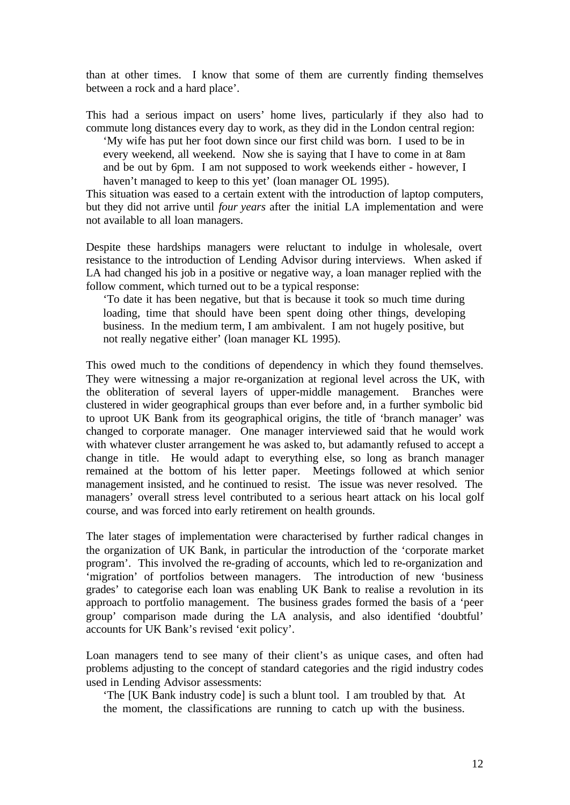than at other times. I know that some of them are currently finding themselves between a rock and a hard place'.

This had a serious impact on users' home lives, particularly if they also had to commute long distances every day to work, as they did in the London central region:

'My wife has put her foot down since our first child was born. I used to be in every weekend, all weekend. Now she is saying that I have to come in at 8am and be out by 6pm. I am not supposed to work weekends either - however, I haven't managed to keep to this yet' (loan manager OL 1995).

This situation was eased to a certain extent with the introduction of laptop computers, but they did not arrive until *four years* after the initial LA implementation and were not available to all loan managers.

Despite these hardships managers were reluctant to indulge in wholesale, overt resistance to the introduction of Lending Advisor during interviews. When asked if LA had changed his job in a positive or negative way, a loan manager replied with the follow comment, which turned out to be a typical response:

'To date it has been negative, but that is because it took so much time during loading, time that should have been spent doing other things, developing business. In the medium term, I am ambivalent. I am not hugely positive, but not really negative either' (loan manager KL 1995).

This owed much to the conditions of dependency in which they found themselves. They were witnessing a major re-organization at regional level across the UK, with the obliteration of several layers of upper-middle management. Branches were clustered in wider geographical groups than ever before and, in a further symbolic bid to uproot UK Bank from its geographical origins, the title of 'branch manager' was changed to corporate manager. One manager interviewed said that he would work with whatever cluster arrangement he was asked to, but adamantly refused to accept a change in title. He would adapt to everything else, so long as branch manager remained at the bottom of his letter paper. Meetings followed at which senior management insisted, and he continued to resist. The issue was never resolved. The managers' overall stress level contributed to a serious heart attack on his local golf course, and was forced into early retirement on health grounds.

The later stages of implementation were characterised by further radical changes in the organization of UK Bank, in particular the introduction of the 'corporate market program'. This involved the re-grading of accounts, which led to re-organization and 'migration' of portfolios between managers. The introduction of new 'business grades' to categorise each loan was enabling UK Bank to realise a revolution in its approach to portfolio management. The business grades formed the basis of a 'peer group' comparison made during the LA analysis, and also identified 'doubtful' accounts for UK Bank's revised 'exit policy'.

Loan managers tend to see many of their client's as unique cases, and often had problems adjusting to the concept of standard categories and the rigid industry codes used in Lending Advisor assessments:

'The [UK Bank industry code] is such a blunt tool. I am troubled by that. At the moment, the classifications are running to catch up with the business.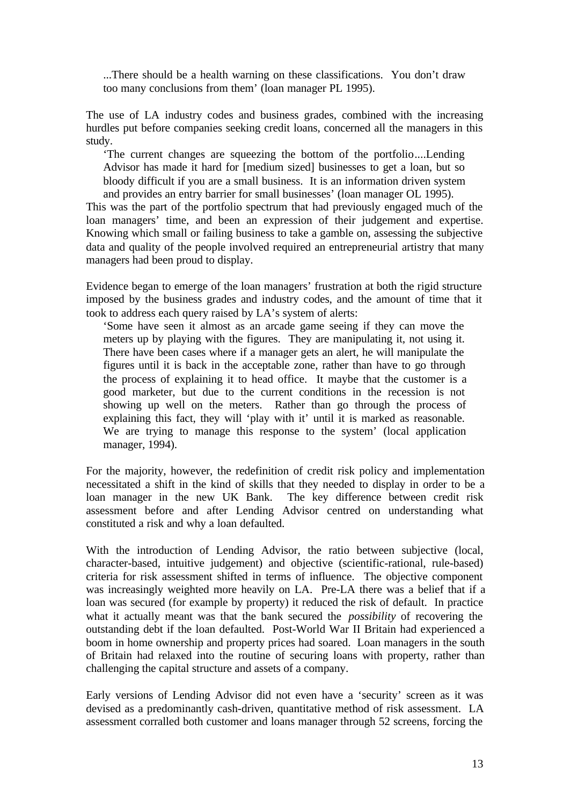...There should be a health warning on these classifications. You don't draw too many conclusions from them' (loan manager PL 1995).

The use of LA industry codes and business grades, combined with the increasing hurdles put before companies seeking credit loans, concerned all the managers in this study.

'The current changes are squeezing the bottom of the portfolio....Lending Advisor has made it hard for [medium sized] businesses to get a loan, but so bloody difficult if you are a small business. It is an information driven system and provides an entry barrier for small businesses' (loan manager OL 1995).

This was the part of the portfolio spectrum that had previously engaged much of the loan managers' time, and been an expression of their judgement and expertise. Knowing which small or failing business to take a gamble on, assessing the subjective data and quality of the people involved required an entrepreneurial artistry that many managers had been proud to display.

Evidence began to emerge of the loan managers' frustration at both the rigid structure imposed by the business grades and industry codes, and the amount of time that it took to address each query raised by LA's system of alerts:

'Some have seen it almost as an arcade game seeing if they can move the meters up by playing with the figures. They are manipulating it, not using it. There have been cases where if a manager gets an alert, he will manipulate the figures until it is back in the acceptable zone, rather than have to go through the process of explaining it to head office. It maybe that the customer is a good marketer, but due to the current conditions in the recession is not showing up well on the meters. Rather than go through the process of explaining this fact, they will 'play with it' until it is marked as reasonable. We are trying to manage this response to the system' (local application manager, 1994).

For the majority, however, the redefinition of credit risk policy and implementation necessitated a shift in the kind of skills that they needed to display in order to be a loan manager in the new UK Bank. The key difference between credit risk assessment before and after Lending Advisor centred on understanding what constituted a risk and why a loan defaulted.

With the introduction of Lending Advisor, the ratio between subjective (local, character-based, intuitive judgement) and objective (scientific-rational, rule-based) criteria for risk assessment shifted in terms of influence. The objective component was increasingly weighted more heavily on LA. Pre-LA there was a belief that if a loan was secured (for example by property) it reduced the risk of default. In practice what it actually meant was that the bank secured the *possibility* of recovering the outstanding debt if the loan defaulted. Post-World War II Britain had experienced a boom in home ownership and property prices had soared. Loan managers in the south of Britain had relaxed into the routine of securing loans with property, rather than challenging the capital structure and assets of a company.

Early versions of Lending Advisor did not even have a 'security' screen as it was devised as a predominantly cash-driven, quantitative method of risk assessment. LA assessment corralled both customer and loans manager through 52 screens, forcing the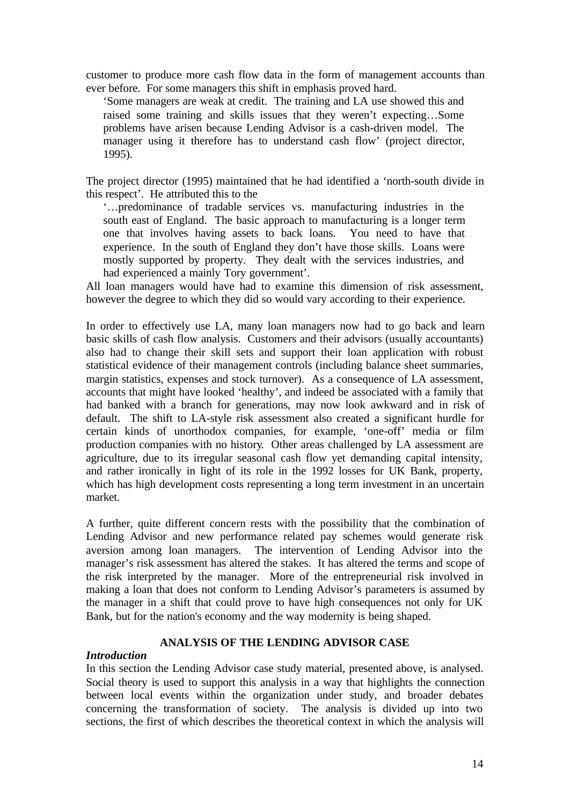customer to produce more cash flow data in the form of management accounts than ever before. For some managers this shift in emphasis proved hard.

'Some managers are weak at credit. The training and LA use showed this and raised some training and skills issues that they weren't expecting…Some problems have arisen because Lending Advisor is a cash-driven model. The manager using it therefore has to understand cash flow' (project director, 1995).

The project director (1995) maintained that he had identified a 'north-south divide in this respect'. He attributed this to the

'…predominance of tradable services vs. manufacturing industries in the south east of England. The basic approach to manufacturing is a longer term one that involves having assets to back loans. You need to have that experience. In the south of England they don't have those skills. Loans were mostly supported by property. They dealt with the services industries, and had experienced a mainly Tory government'.

All loan managers would have had to examine this dimension of risk assessment, however the degree to which they did so would vary according to their experience.

In order to effectively use LA, many loan managers now had to go back and learn basic skills of cash flow analysis. Customers and their advisors (usually accountants) also had to change their skill sets and support their loan application with robust statistical evidence of their management controls (including balance sheet summaries, margin statistics, expenses and stock turnover). As a consequence of LA assessment, accounts that might have looked 'healthy', and indeed be associated with a family that had banked with a branch for generations, may now look awkward and in risk of default. The shift to LA-style risk assessment also created a significant hurdle for certain kinds of unorthodox companies, for example, 'one-off' media or film production companies with no history. Other areas challenged by LA assessment are agriculture, due to its irregular seasonal cash flow yet demanding capital intensity, and rather ironically in light of its role in the 1992 losses for UK Bank, property, which has high development costs representing a long term investment in an uncertain market.

A further, quite different concern rests with the possibility that the combination of Lending Advisor and new performance related pay schemes would generate risk aversion among loan managers. The intervention of Lending Advisor into the manager's risk assessment has altered the stakes. It has altered the terms and scope of the risk interpreted by the manager. More of the entrepreneurial risk involved in making a loan that does not conform to Lending Advisor's parameters is assumed by the manager in a shift that could prove to have high consequences not only for UK Bank, but for the nation's economy and the way modernity is being shaped.

#### **ANALYSIS OF THE LENDING ADVISOR CASE**

#### *Introduction*

In this section the Lending Advisor case study material, presented above, is analysed. Social theory is used to support this analysis in a way that highlights the connection between local events within the organization under study, and broader debates concerning the transformation of society. The analysis is divided up into two sections, the first of which describes the theoretical context in which the analysis will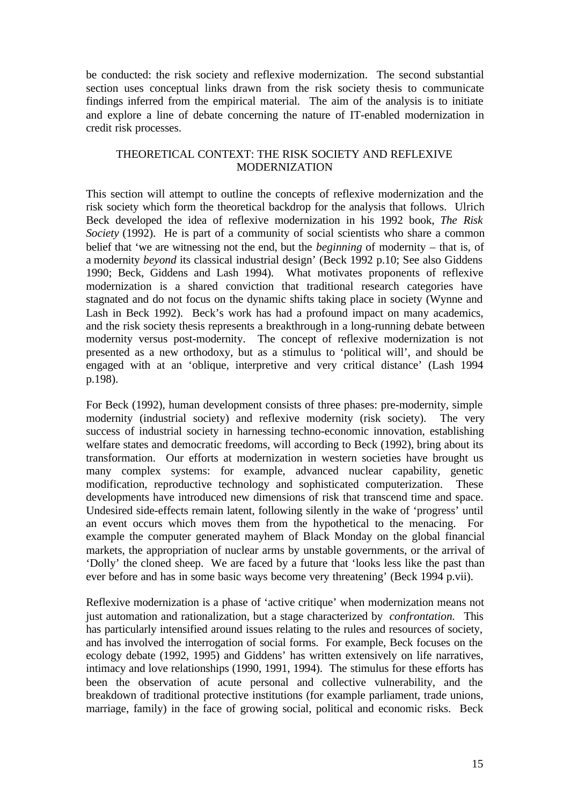be conducted: the risk society and reflexive modernization. The second substantial section uses conceptual links drawn from the risk society thesis to communicate findings inferred from the empirical material. The aim of the analysis is to initiate and explore a line of debate concerning the nature of IT-enabled modernization in credit risk processes.

#### THEORETICAL CONTEXT: THE RISK SOCIETY AND REFLEXIVE MODERNIZATION

This section will attempt to outline the concepts of reflexive modernization and the risk society which form the theoretical backdrop for the analysis that follows. Ulrich Beck developed the idea of reflexive modernization in his 1992 book, *The Risk Society* (1992). He is part of a community of social scientists who share a common belief that 'we are witnessing not the end, but the *beginning* of modernity – that is, of a modernity *beyond* its classical industrial design' (Beck 1992 p.10; See also Giddens 1990; Beck, Giddens and Lash 1994). What motivates proponents of reflexive modernization is a shared conviction that traditional research categories have stagnated and do not focus on the dynamic shifts taking place in society (Wynne and Lash in Beck 1992). Beck's work has had a profound impact on many academics, and the risk society thesis represents a breakthrough in a long-running debate between modernity versus post-modernity. The concept of reflexive modernization is not presented as a new orthodoxy, but as a stimulus to 'political will', and should be engaged with at an 'oblique, interpretive and very critical distance' (Lash 1994 p.198).

For Beck (1992), human development consists of three phases: pre-modernity, simple modernity (industrial society) and reflexive modernity (risk society). The very success of industrial society in harnessing techno-economic innovation, establishing welfare states and democratic freedoms, will according to Beck (1992), bring about its transformation. Our efforts at modernization in western societies have brought us many complex systems: for example, advanced nuclear capability, genetic modification, reproductive technology and sophisticated computerization. These developments have introduced new dimensions of risk that transcend time and space. Undesired side-effects remain latent, following silently in the wake of 'progress' until an event occurs which moves them from the hypothetical to the menacing. For example the computer generated mayhem of Black Monday on the global financial markets, the appropriation of nuclear arms by unstable governments, or the arrival of 'Dolly' the cloned sheep. We are faced by a future that 'looks less like the past than ever before and has in some basic ways become very threatening' (Beck 1994 p.vii).

Reflexive modernization is a phase of 'active critique' when modernization means not just automation and rationalization, but a stage characterized by *confrontation.* This has particularly intensified around issues relating to the rules and resources of society, and has involved the interrogation of social forms. For example, Beck focuses on the ecology debate (1992, 1995) and Giddens' has written extensively on life narratives, intimacy and love relationships (1990, 1991, 1994). The stimulus for these efforts has been the observation of acute personal and collective vulnerability, and the breakdown of traditional protective institutions (for example parliament, trade unions, marriage, family) in the face of growing social, political and economic risks. Beck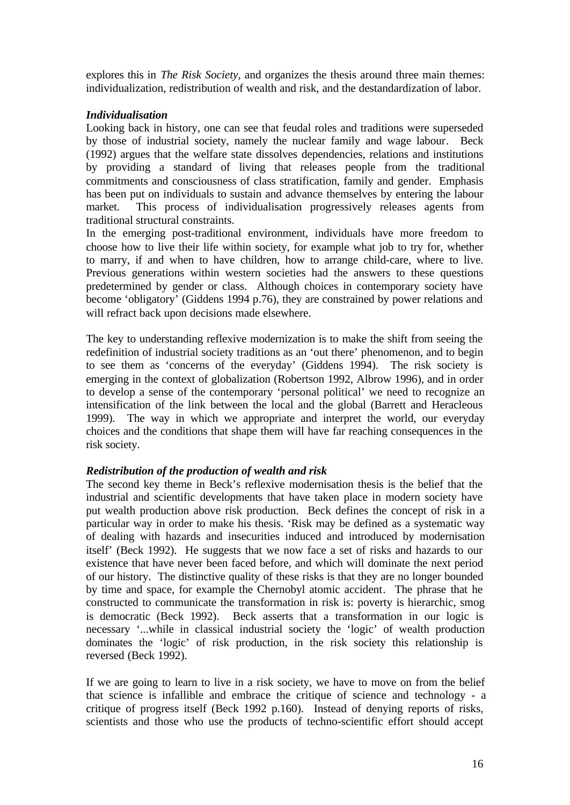explores this in *The Risk Society,* and organizes the thesis around three main themes: individualization, redistribution of wealth and risk, and the destandardization of labor.

#### *Individualisation*

Looking back in history, one can see that feudal roles and traditions were superseded by those of industrial society, namely the nuclear family and wage labour. Beck (1992) argues that the welfare state dissolves dependencies, relations and institutions by providing a standard of living that releases people from the traditional commitments and consciousness of class stratification, family and gender. Emphasis has been put on individuals to sustain and advance themselves by entering the labour market. This process of individualisation progressively releases agents from traditional structural constraints.

In the emerging post-traditional environment, individuals have more freedom to choose how to live their life within society, for example what job to try for, whether to marry, if and when to have children, how to arrange child-care, where to live. Previous generations within western societies had the answers to these questions predetermined by gender or class. Although choices in contemporary society have become 'obligatory' (Giddens 1994 p.76), they are constrained by power relations and will refract back upon decisions made elsewhere.

The key to understanding reflexive modernization is to make the shift from seeing the redefinition of industrial society traditions as an 'out there' phenomenon, and to begin to see them as 'concerns of the everyday' (Giddens 1994). The risk society is emerging in the context of globalization (Robertson 1992, Albrow 1996), and in order to develop a sense of the contemporary 'personal political' we need to recognize an intensification of the link between the local and the global (Barrett and Heracleous 1999). The way in which we appropriate and interpret the world, our everyday choices and the conditions that shape them will have far reaching consequences in the risk society.

#### *Redistribution of the production of wealth and risk*

The second key theme in Beck's reflexive modernisation thesis is the belief that the industrial and scientific developments that have taken place in modern society have put wealth production above risk production. Beck defines the concept of risk in a particular way in order to make his thesis. 'Risk may be defined as a systematic way of dealing with hazards and insecurities induced and introduced by modernisation itself' (Beck 1992). He suggests that we now face a set of risks and hazards to our existence that have never been faced before, and which will dominate the next period of our history. The distinctive quality of these risks is that they are no longer bounded by time and space, for example the Chernobyl atomic accident. The phrase that he constructed to communicate the transformation in risk is: poverty is hierarchic, smog is democratic (Beck 1992). Beck asserts that a transformation in our logic is necessary '...while in classical industrial society the 'logic' of wealth production dominates the 'logic' of risk production, in the risk society this relationship is reversed (Beck 1992).

If we are going to learn to live in a risk society, we have to move on from the belief that science is infallible and embrace the critique of science and technology - a critique of progress itself (Beck 1992 p.160). Instead of denying reports of risks, scientists and those who use the products of techno-scientific effort should accept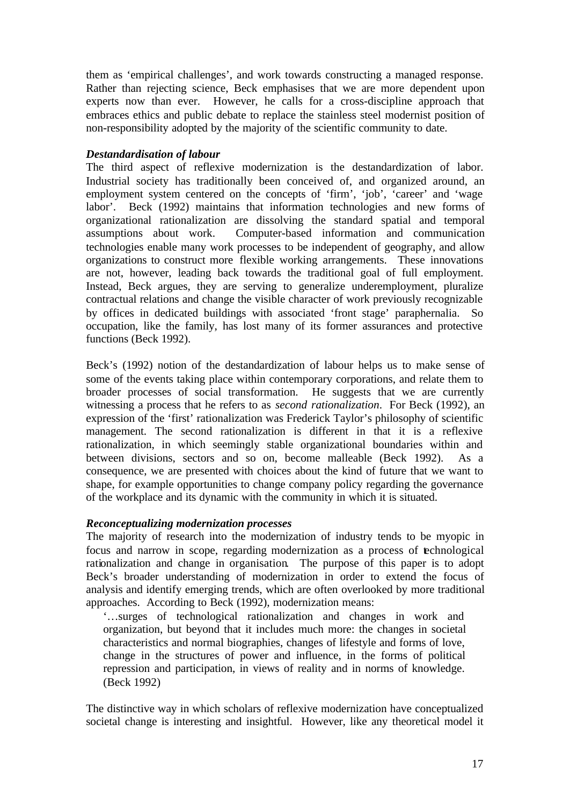them as 'empirical challenges', and work towards constructing a managed response. Rather than rejecting science, Beck emphasises that we are more dependent upon experts now than ever. However, he calls for a cross-discipline approach that embraces ethics and public debate to replace the stainless steel modernist position of non-responsibility adopted by the majority of the scientific community to date.

#### *Destandardisation of labour*

The third aspect of reflexive modernization is the destandardization of labor. Industrial society has traditionally been conceived of, and organized around, an employment system centered on the concepts of 'firm', 'job', 'career' and 'wage labor'. Beck (1992) maintains that information technologies and new forms of organizational rationalization are dissolving the standard spatial and temporal assumptions about work. Computer-based information and communication technologies enable many work processes to be independent of geography, and allow organizations to construct more flexible working arrangements. These innovations are not, however, leading back towards the traditional goal of full employment. Instead, Beck argues, they are serving to generalize underemployment, pluralize contractual relations and change the visible character of work previously recognizable by offices in dedicated buildings with associated 'front stage' paraphernalia. So occupation, like the family, has lost many of its former assurances and protective functions (Beck 1992).

Beck's (1992) notion of the destandardization of labour helps us to make sense of some of the events taking place within contemporary corporations, and relate them to broader processes of social transformation. He suggests that we are currently witnessing a process that he refers to as *second rationalization*. For Beck (1992), an expression of the 'first' rationalization was Frederick Taylor's philosophy of scientific management. The second rationalization is different in that it is a reflexive rationalization, in which seemingly stable organizational boundaries within and between divisions, sectors and so on, become malleable (Beck 1992). As a consequence, we are presented with choices about the kind of future that we want to shape, for example opportunities to change company policy regarding the governance of the workplace and its dynamic with the community in which it is situated.

#### *Reconceptualizing modernization processes*

The majority of research into the modernization of industry tends to be myopic in focus and narrow in scope, regarding modernization as a process of technological rationalization and change in organisation. The purpose of this paper is to adopt Beck's broader understanding of modernization in order to extend the focus of analysis and identify emerging trends, which are often overlooked by more traditional approaches. According to Beck (1992), modernization means:

'…surges of technological rationalization and changes in work and organization, but beyond that it includes much more: the changes in societal characteristics and normal biographies, changes of lifestyle and forms of love, change in the structures of power and influence, in the forms of political repression and participation, in views of reality and in norms of knowledge. (Beck 1992)

The distinctive way in which scholars of reflexive modernization have conceptualized societal change is interesting and insightful. However, like any theoretical model it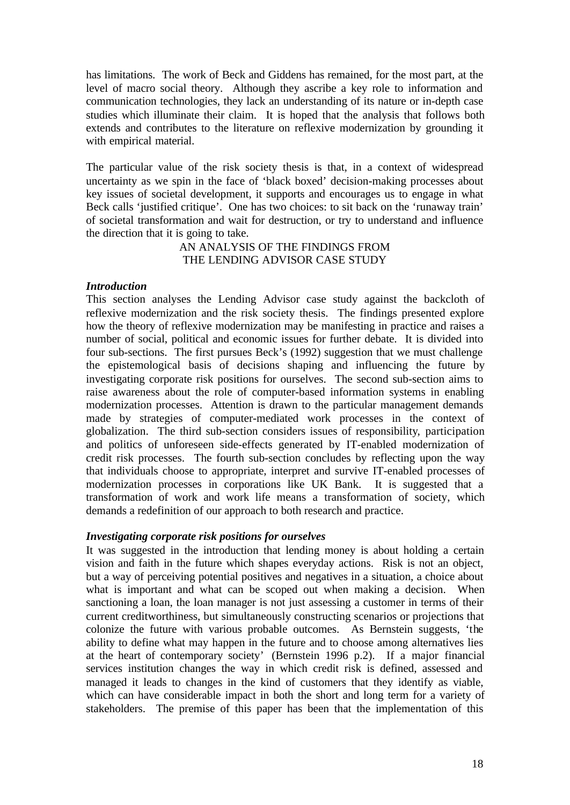has limitations. The work of Beck and Giddens has remained, for the most part, at the level of macro social theory. Although they ascribe a key role to information and communication technologies, they lack an understanding of its nature or in-depth case studies which illuminate their claim. It is hoped that the analysis that follows both extends and contributes to the literature on reflexive modernization by grounding it with empirical material.

The particular value of the risk society thesis is that, in a context of widespread uncertainty as we spin in the face of 'black boxed' decision-making processes about key issues of societal development, it supports and encourages us to engage in what Beck calls 'justified critique'. One has two choices: to sit back on the 'runaway train' of societal transformation and wait for destruction, or try to understand and influence the direction that it is going to take.

#### AN ANALYSIS OF THE FINDINGS FROM THE LENDING ADVISOR CASE STUDY

#### *Introduction*

This section analyses the Lending Advisor case study against the backcloth of reflexive modernization and the risk society thesis. The findings presented explore how the theory of reflexive modernization may be manifesting in practice and raises a number of social, political and economic issues for further debate. It is divided into four sub-sections. The first pursues Beck's (1992) suggestion that we must challenge the epistemological basis of decisions shaping and influencing the future by investigating corporate risk positions for ourselves. The second sub-section aims to raise awareness about the role of computer-based information systems in enabling modernization processes. Attention is drawn to the particular management demands made by strategies of computer-mediated work processes in the context of globalization. The third sub-section considers issues of responsibility, participation and politics of unforeseen side-effects generated by IT-enabled modernization of credit risk processes. The fourth sub-section concludes by reflecting upon the way that individuals choose to appropriate, interpret and survive IT-enabled processes of modernization processes in corporations like UK Bank. It is suggested that a transformation of work and work life means a transformation of society, which demands a redefinition of our approach to both research and practice.

#### *Investigating corporate risk positions for ourselves*

It was suggested in the introduction that lending money is about holding a certain vision and faith in the future which shapes everyday actions. Risk is not an object, but a way of perceiving potential positives and negatives in a situation, a choice about what is important and what can be scoped out when making a decision. When sanctioning a loan, the loan manager is not just assessing a customer in terms of their current creditworthiness, but simultaneously constructing scenarios or projections that colonize the future with various probable outcomes. As Bernstein suggests, 'the ability to define what may happen in the future and to choose among alternatives lies at the heart of contemporary society' (Bernstein 1996 p.2). If a major financial services institution changes the way in which credit risk is defined, assessed and managed it leads to changes in the kind of customers that they identify as viable, which can have considerable impact in both the short and long term for a variety of stakeholders. The premise of this paper has been that the implementation of this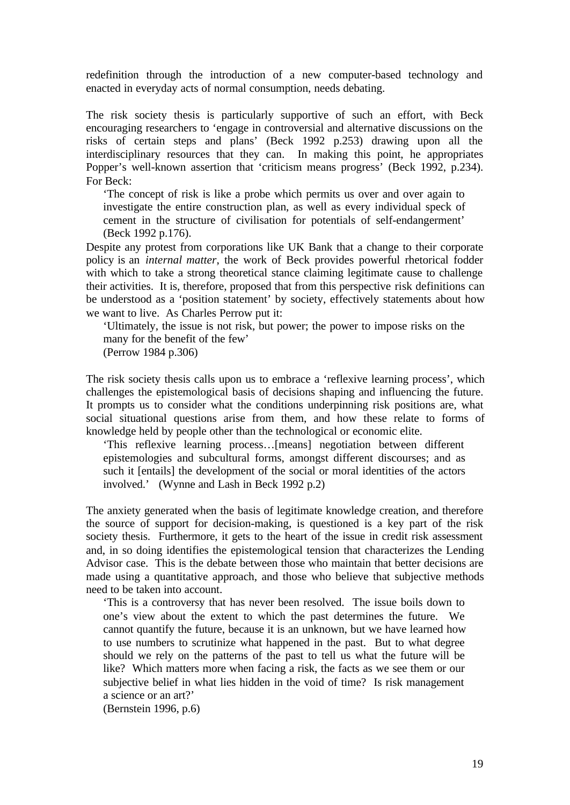redefinition through the introduction of a new computer-based technology and enacted in everyday acts of normal consumption, needs debating.

The risk society thesis is particularly supportive of such an effort, with Beck encouraging researchers to 'engage in controversial and alternative discussions on the risks of certain steps and plans' (Beck 1992 p.253) drawing upon all the interdisciplinary resources that they can. In making this point, he appropriates Popper's well-known assertion that 'criticism means progress' (Beck 1992, p.234). For Beck:

'The concept of risk is like a probe which permits us over and over again to investigate the entire construction plan, as well as every individual speck of cement in the structure of civilisation for potentials of self-endangerment' (Beck 1992 p.176).

Despite any protest from corporations like UK Bank that a change to their corporate policy is an *internal matter*, the work of Beck provides powerful rhetorical fodder with which to take a strong theoretical stance claiming legitimate cause to challenge their activities. It is, therefore, proposed that from this perspective risk definitions can be understood as a 'position statement' by society, effectively statements about how we want to live. As Charles Perrow put it:

'Ultimately, the issue is not risk, but power; the power to impose risks on the many for the benefit of the few'

(Perrow 1984 p.306)

The risk society thesis calls upon us to embrace a 'reflexive learning process', which challenges the epistemological basis of decisions shaping and influencing the future. It prompts us to consider what the conditions underpinning risk positions are, what social situational questions arise from them, and how these relate to forms of knowledge held by people other than the technological or economic elite.

'This reflexive learning process…[means] negotiation between different epistemologies and subcultural forms, amongst different discourses; and as such it [entails] the development of the social or moral identities of the actors involved.' (Wynne and Lash in Beck 1992 p.2)

The anxiety generated when the basis of legitimate knowledge creation, and therefore the source of support for decision-making, is questioned is a key part of the risk society thesis. Furthermore, it gets to the heart of the issue in credit risk assessment and, in so doing identifies the epistemological tension that characterizes the Lending Advisor case. This is the debate between those who maintain that better decisions are made using a quantitative approach, and those who believe that subjective methods need to be taken into account.

'This is a controversy that has never been resolved. The issue boils down to one's view about the extent to which the past determines the future. We cannot quantify the future, because it is an unknown, but we have learned how to use numbers to scrutinize what happened in the past. But to what degree should we rely on the patterns of the past to tell us what the future will be like? Which matters more when facing a risk, the facts as we see them or our subjective belief in what lies hidden in the void of time? Is risk management a science or an art?'

(Bernstein 1996, p.6)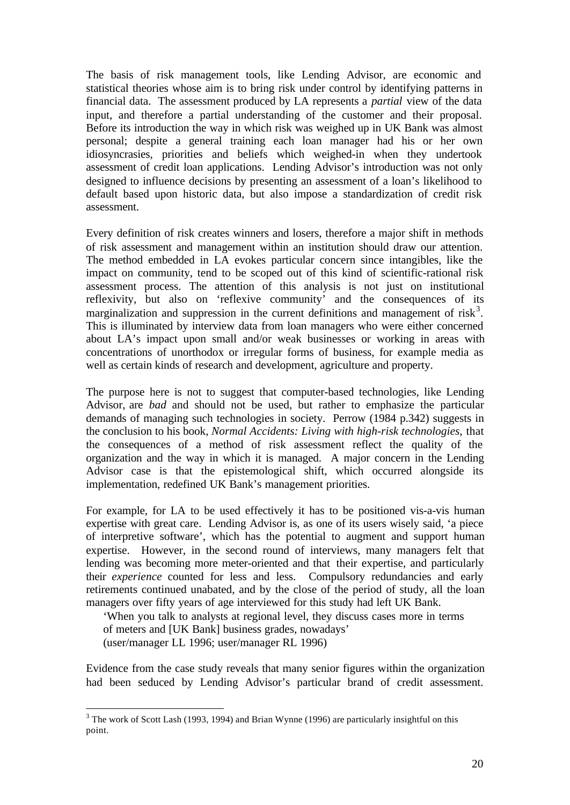The basis of risk management tools, like Lending Advisor, are economic and statistical theories whose aim is to bring risk under control by identifying patterns in financial data. The assessment produced by LA represents a *partial* view of the data input, and therefore a partial understanding of the customer and their proposal. Before its introduction the way in which risk was weighed up in UK Bank was almost personal; despite a general training each loan manager had his or her own idiosyncrasies, priorities and beliefs which weighed-in when they undertook assessment of credit loan applications. Lending Advisor's introduction was not only designed to influence decisions by presenting an assessment of a loan's likelihood to default based upon historic data, but also impose a standardization of credit risk assessment.

Every definition of risk creates winners and losers, therefore a major shift in methods of risk assessment and management within an institution should draw our attention. The method embedded in LA evokes particular concern since intangibles, like the impact on community, tend to be scoped out of this kind of scientific-rational risk assessment process. The attention of this analysis is not just on institutional reflexivity, but also on 'reflexive community' and the consequences of its marginalization and suppression in the current definitions and management of risk<sup>3</sup>. This is illuminated by interview data from loan managers who were either concerned about LA's impact upon small and/or weak businesses or working in areas with concentrations of unorthodox or irregular forms of business, for example media as well as certain kinds of research and development, agriculture and property.

The purpose here is not to suggest that computer-based technologies, like Lending Advisor, are *bad* and should not be used, but rather to emphasize the particular demands of managing such technologies in society. Perrow (1984 p.342) suggests in the conclusion to his book, *Normal Accidents: Living with high-risk technologies*, that the consequences of a method of risk assessment reflect the quality of the organization and the way in which it is managed. A major concern in the Lending Advisor case is that the epistemological shift, which occurred alongside its implementation, redefined UK Bank's management priorities.

For example, for LA to be used effectively it has to be positioned vis-a-vis human expertise with great care. Lending Advisor is, as one of its users wisely said, 'a piece of interpretive software', which has the potential to augment and support human expertise. However, in the second round of interviews, many managers felt that lending was becoming more meter-oriented and that their expertise, and particularly their *experience* counted for less and less. Compulsory redundancies and early retirements continued unabated, and by the close of the period of study, all the loan managers over fifty years of age interviewed for this study had left UK Bank.

'When you talk to analysts at regional level, they discuss cases more in terms of meters and [UK Bank] business grades, nowadays' (user/manager LL 1996; user/manager RL 1996)

Evidence from the case study reveals that many senior figures within the organization had been seduced by Lending Advisor's particular brand of credit assessment.

l

 $3$  The work of Scott Lash (1993, 1994) and Brian Wynne (1996) are particularly insightful on this point.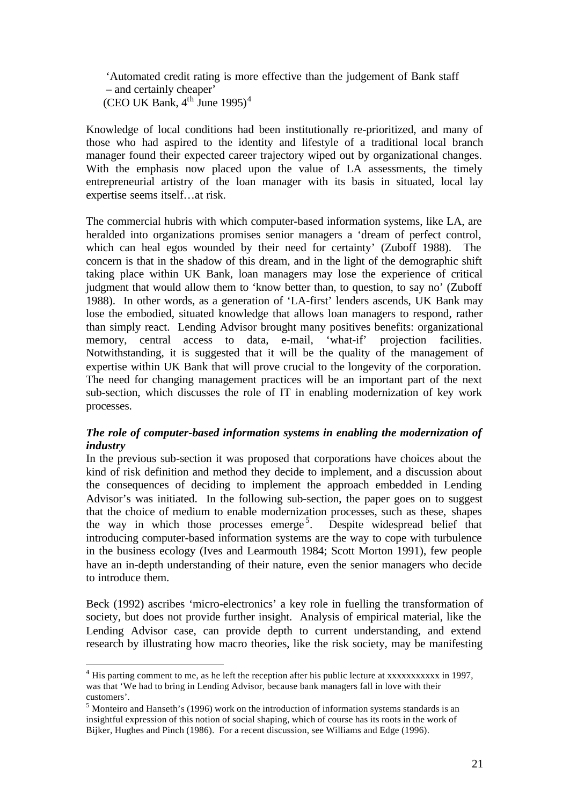'Automated credit rating is more effective than the judgement of Bank staff – and certainly cheaper' (CEO UK Bank,  $4^{\text{th}}$  June 1995)<sup>4</sup>

Knowledge of local conditions had been institutionally re-prioritized, and many of those who had aspired to the identity and lifestyle of a traditional local branch manager found their expected career trajectory wiped out by organizational changes. With the emphasis now placed upon the value of LA assessments, the timely entrepreneurial artistry of the loan manager with its basis in situated, local lay expertise seems itself…at risk.

The commercial hubris with which computer-based information systems, like LA, are heralded into organizations promises senior managers a 'dream of perfect control, which can heal egos wounded by their need for certainty' (Zuboff 1988). The concern is that in the shadow of this dream, and in the light of the demographic shift taking place within UK Bank, loan managers may lose the experience of critical judgment that would allow them to 'know better than, to question, to say no' (Zuboff 1988). In other words, as a generation of 'LA-first' lenders ascends, UK Bank may lose the embodied, situated knowledge that allows loan managers to respond, rather than simply react. Lending Advisor brought many positives benefits: organizational memory, central access to data, e-mail, 'what-if' projection facilities. Notwithstanding, it is suggested that it will be the quality of the management of expertise within UK Bank that will prove crucial to the longevity of the corporation. The need for changing management practices will be an important part of the next sub-section, which discusses the role of IT in enabling modernization of key work processes.

#### *The role of computer-based information systems in enabling the modernization of industry*

In the previous sub-section it was proposed that corporations have choices about the kind of risk definition and method they decide to implement, and a discussion about the consequences of deciding to implement the approach embedded in Lending Advisor's was initiated. In the following sub-section, the paper goes on to suggest that the choice of medium to enable modernization processes, such as these, shapes the way in which those processes emerge<sup>5</sup>. Despite widespread belief that introducing computer-based information systems are the way to cope with turbulence in the business ecology (Ives and Learmouth 1984; Scott Morton 1991), few people have an in-depth understanding of their nature, even the senior managers who decide to introduce them.

Beck (1992) ascribes 'micro-electronics' a key role in fuelling the transformation of society, but does not provide further insight. Analysis of empirical material, like the Lending Advisor case, can provide depth to current understanding, and extend research by illustrating how macro theories, like the risk society, may be manifesting

l

<sup>&</sup>lt;sup>4</sup> His parting comment to me, as he left the reception after his public lecture at xxxxxxxxxxx in 1997, was that 'We had to bring in Lending Advisor, because bank managers fall in love with their customers'.

 $<sup>5</sup>$  Monteiro and Hanseth's (1996) work on the introduction of information systems standards is an</sup> insightful expression of this notion of social shaping, which of course has its roots in the work of Bijker, Hughes and Pinch (1986). For a recent discussion, see Williams and Edge (1996).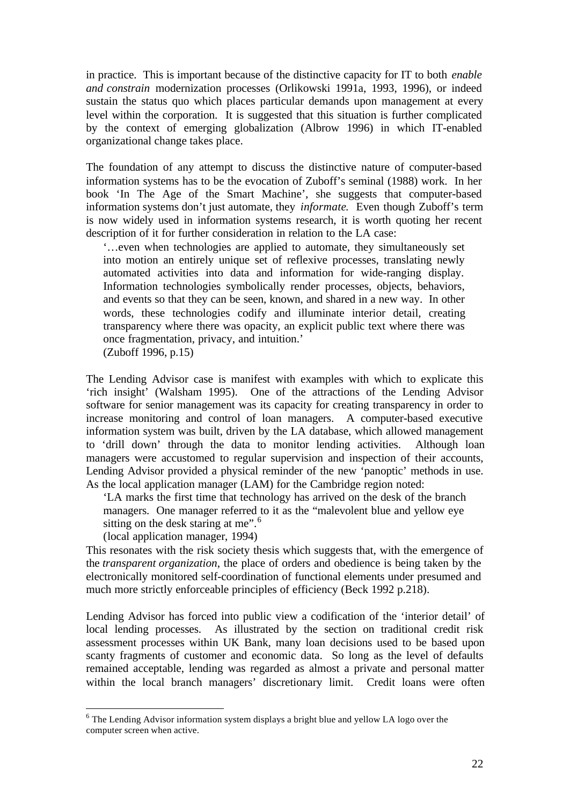in practice. This is important because of the distinctive capacity for IT to both *enable and constrain* modernization processes (Orlikowski 1991a, 1993, 1996), or indeed sustain the status quo which places particular demands upon management at every level within the corporation. It is suggested that this situation is further complicated by the context of emerging globalization (Albrow 1996) in which IT-enabled organizational change takes place.

The foundation of any attempt to discuss the distinctive nature of computer-based information systems has to be the evocation of Zuboff's seminal (1988) work. In her book 'In The Age of the Smart Machine', she suggests that computer-based information systems don't just automate, they *informate*. Even though Zuboff's term is now widely used in information systems research, it is worth quoting her recent description of it for further consideration in relation to the LA case:

'…even when technologies are applied to automate, they simultaneously set into motion an entirely unique set of reflexive processes, translating newly automated activities into data and information for wide-ranging display. Information technologies symbolically render processes, objects, behaviors, and events so that they can be seen, known, and shared in a new way. In other words, these technologies codify and illuminate interior detail, creating transparency where there was opacity, an explicit public text where there was once fragmentation, privacy, and intuition.'

(Zuboff 1996, p.15)

The Lending Advisor case is manifest with examples with which to explicate this 'rich insight' (Walsham 1995). One of the attractions of the Lending Advisor software for senior management was its capacity for creating transparency in order to increase monitoring and control of loan managers. A computer-based executive information system was built, driven by the LA database, which allowed management to 'drill down' through the data to monitor lending activities. Although loan managers were accustomed to regular supervision and inspection of their accounts, Lending Advisor provided a physical reminder of the new 'panoptic' methods in use. As the local application manager (LAM) for the Cambridge region noted:

'LA marks the first time that technology has arrived on the desk of the branch managers. One manager referred to it as the "malevolent blue and yellow eye sitting on the desk staring at me".<sup>6</sup>

(local application manager, 1994)

l

This resonates with the risk society thesis which suggests that, with the emergence of the *transparent organization*, the place of orders and obedience is being taken by the electronically monitored self-coordination of functional elements under presumed and much more strictly enforceable principles of efficiency (Beck 1992 p.218).

Lending Advisor has forced into public view a codification of the 'interior detail' of local lending processes. As illustrated by the section on traditional credit risk assessment processes within UK Bank, many loan decisions used to be based upon scanty fragments of customer and economic data. So long as the level of defaults remained acceptable, lending was regarded as almost a private and personal matter within the local branch managers' discretionary limit. Credit loans were often

 $6$  The Lending Advisor information system displays a bright blue and yellow LA logo over the computer screen when active.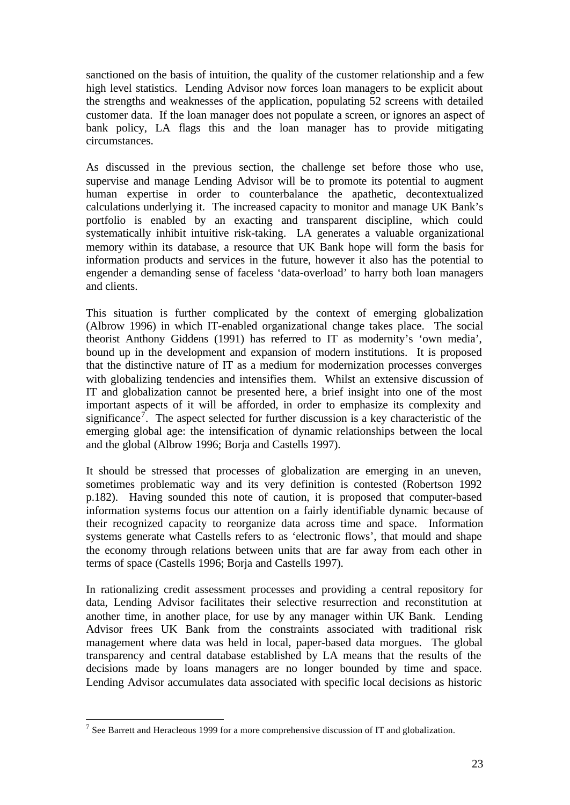sanctioned on the basis of intuition, the quality of the customer relationship and a few high level statistics. Lending Advisor now forces loan managers to be explicit about the strengths and weaknesses of the application, populating 52 screens with detailed customer data. If the loan manager does not populate a screen, or ignores an aspect of bank policy, LA flags this and the loan manager has to provide mitigating circumstances.

As discussed in the previous section, the challenge set before those who use, supervise and manage Lending Advisor will be to promote its potential to augment human expertise in order to counterbalance the apathetic, decontextualized calculations underlying it. The increased capacity to monitor and manage UK Bank's portfolio is enabled by an exacting and transparent discipline, which could systematically inhibit intuitive risk-taking. LA generates a valuable organizational memory within its database, a resource that UK Bank hope will form the basis for information products and services in the future, however it also has the potential to engender a demanding sense of faceless 'data-overload' to harry both loan managers and clients.

This situation is further complicated by the context of emerging globalization (Albrow 1996) in which IT-enabled organizational change takes place. The social theorist Anthony Giddens (1991) has referred to IT as modernity's 'own media', bound up in the development and expansion of modern institutions. It is proposed that the distinctive nature of IT as a medium for modernization processes converges with globalizing tendencies and intensifies them. Whilst an extensive discussion of IT and globalization cannot be presented here, a brief insight into one of the most important aspects of it will be afforded, in order to emphasize its complexity and significance<sup>7</sup>. The aspect selected for further discussion is a key characteristic of the emerging global age: the intensification of dynamic relationships between the local and the global (Albrow 1996; Borja and Castells 1997).

It should be stressed that processes of globalization are emerging in an uneven, sometimes problematic way and its very definition is contested (Robertson 1992 p.182). Having sounded this note of caution, it is proposed that computer-based information systems focus our attention on a fairly identifiable dynamic because of their recognized capacity to reorganize data across time and space. Information systems generate what Castells refers to as 'electronic flows', that mould and shape the economy through relations between units that are far away from each other in terms of space (Castells 1996; Borja and Castells 1997).

In rationalizing credit assessment processes and providing a central repository for data, Lending Advisor facilitates their selective resurrection and reconstitution at another time, in another place, for use by any manager within UK Bank. Lending Advisor frees UK Bank from the constraints associated with traditional risk management where data was held in local, paper-based data morgues. The global transparency and central database established by LA means that the results of the decisions made by loans managers are no longer bounded by time and space. Lending Advisor accumulates data associated with specific local decisions as historic

l <sup>7</sup> See Barrett and Heracleous 1999 for a more comprehensive discussion of IT and globalization.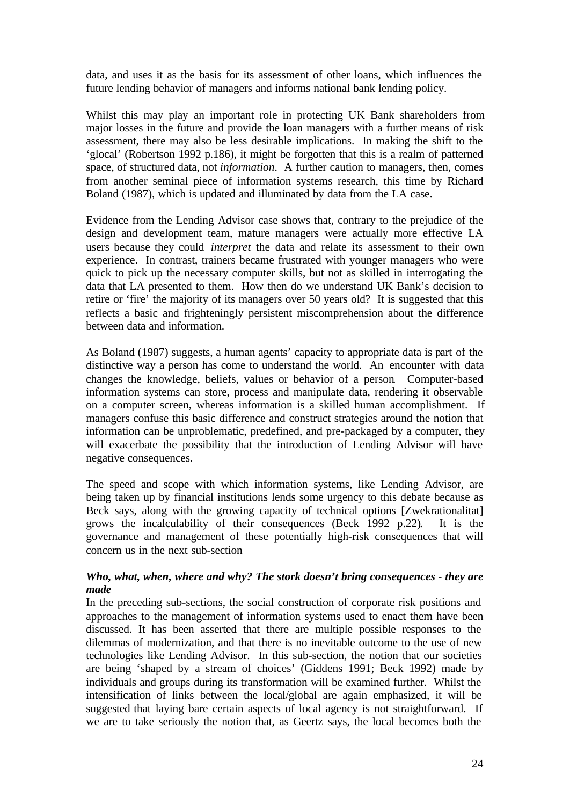data, and uses it as the basis for its assessment of other loans, which influences the future lending behavior of managers and informs national bank lending policy.

Whilst this may play an important role in protecting UK Bank shareholders from major losses in the future and provide the loan managers with a further means of risk assessment, there may also be less desirable implications. In making the shift to the 'glocal' (Robertson 1992 p.186), it might be forgotten that this is a realm of patterned space, of structured data, not *information*. A further caution to managers, then, comes from another seminal piece of information systems research, this time by Richard Boland (1987), which is updated and illuminated by data from the LA case.

Evidence from the Lending Advisor case shows that, contrary to the prejudice of the design and development team, mature managers were actually more effective LA users because they could *interpret* the data and relate its assessment to their own experience. In contrast, trainers became frustrated with younger managers who were quick to pick up the necessary computer skills, but not as skilled in interrogating the data that LA presented to them. How then do we understand UK Bank's decision to retire or 'fire' the majority of its managers over 50 years old? It is suggested that this reflects a basic and frighteningly persistent miscomprehension about the difference between data and information.

As Boland (1987) suggests, a human agents' capacity to appropriate data is part of the distinctive way a person has come to understand the world. An encounter with data changes the knowledge, beliefs, values or behavior of a person. Computer-based information systems can store, process and manipulate data, rendering it observable on a computer screen, whereas information is a skilled human accomplishment. If managers confuse this basic difference and construct strategies around the notion that information can be unproblematic, predefined, and pre-packaged by a computer, they will exacerbate the possibility that the introduction of Lending Advisor will have negative consequences.

The speed and scope with which information systems, like Lending Advisor, are being taken up by financial institutions lends some urgency to this debate because as Beck says, along with the growing capacity of technical options [Zwekrationalitat] grows the incalculability of their consequences (Beck 1992 p.22)*.* It is the governance and management of these potentially high-risk consequences that will concern us in the next sub-section

#### *Who, what, when, where and why? The stork doesn't bring consequences - they are made*

In the preceding sub-sections, the social construction of corporate risk positions and approaches to the management of information systems used to enact them have been discussed. It has been asserted that there are multiple possible responses to the dilemmas of modernization, and that there is no inevitable outcome to the use of new technologies like Lending Advisor. In this sub-section, the notion that our societies are being 'shaped by a stream of choices' (Giddens 1991; Beck 1992) made by individuals and groups during its transformation will be examined further. Whilst the intensification of links between the local/global are again emphasized, it will be suggested that laying bare certain aspects of local agency is not straightforward. If we are to take seriously the notion that, as Geertz says, the local becomes both the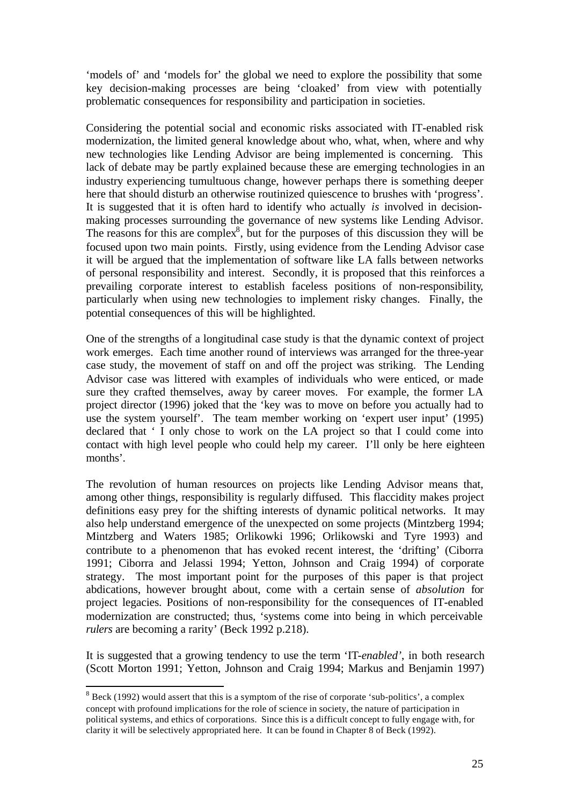'models of' and 'models for' the global we need to explore the possibility that some key decision-making processes are being 'cloaked' from view with potentially problematic consequences for responsibility and participation in societies.

Considering the potential social and economic risks associated with IT-enabled risk modernization, the limited general knowledge about who, what, when, where and why new technologies like Lending Advisor are being implemented is concerning. This lack of debate may be partly explained because these are emerging technologies in an industry experiencing tumultuous change, however perhaps there is something deeper here that should disturb an otherwise routinized quiescence to brushes with 'progress'. It is suggested that it is often hard to identify who actually *is* involved in decisionmaking processes surrounding the governance of new systems like Lending Advisor. The reasons for this are complex<sup>8</sup>, but for the purposes of this discussion they will be focused upon two main points. Firstly, using evidence from the Lending Advisor case it will be argued that the implementation of software like LA falls between networks of personal responsibility and interest. Secondly, it is proposed that this reinforces a prevailing corporate interest to establish faceless positions of non-responsibility, particularly when using new technologies to implement risky changes. Finally, the potential consequences of this will be highlighted.

One of the strengths of a longitudinal case study is that the dynamic context of project work emerges. Each time another round of interviews was arranged for the three-year case study, the movement of staff on and off the project was striking. The Lending Advisor case was littered with examples of individuals who were enticed, or made sure they crafted themselves, away by career moves. For example, the former LA project director (1996) joked that the 'key was to move on before you actually had to use the system yourself'. The team member working on 'expert user input' (1995) declared that ' I only chose to work on the LA project so that I could come into contact with high level people who could help my career. I'll only be here eighteen months'.

The revolution of human resources on projects like Lending Advisor means that, among other things, responsibility is regularly diffused. This flaccidity makes project definitions easy prey for the shifting interests of dynamic political networks. It may also help understand emergence of the unexpected on some projects (Mintzberg 1994; Mintzberg and Waters 1985; Orlikowki 1996; Orlikowski and Tyre 1993) and contribute to a phenomenon that has evoked recent interest, the 'drifting' (Ciborra 1991; Ciborra and Jelassi 1994; Yetton, Johnson and Craig 1994) of corporate strategy. The most important point for the purposes of this paper is that project abdications, however brought about, come with a certain sense of *absolution* for project legacies. Positions of non-responsibility for the consequences of IT-enabled modernization are constructed; thus, 'systems come into being in which perceivable *rulers* are becoming a rarity' (Beck 1992 p.218).

It is suggested that a growing tendency to use the term 'IT*-enabled'*, in both research (Scott Morton 1991; Yetton, Johnson and Craig 1994; Markus and Benjamin 1997)

l

 $8$  Beck (1992) would assert that this is a symptom of the rise of corporate 'sub-politics', a complex concept with profound implications for the role of science in society, the nature of participation in political systems, and ethics of corporations. Since this is a difficult concept to fully engage with, for clarity it will be selectively appropriated here. It can be found in Chapter 8 of Beck (1992).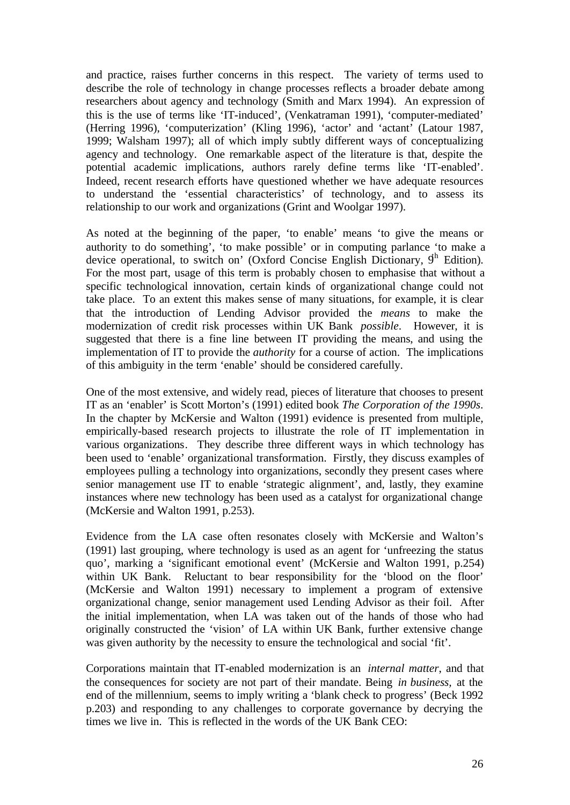and practice, raises further concerns in this respect. The variety of terms used to describe the role of technology in change processes reflects a broader debate among researchers about agency and technology (Smith and Marx 1994). An expression of this is the use of terms like 'IT-induced', (Venkatraman 1991), 'computer-mediated' (Herring 1996), 'computerization' (Kling 1996), 'actor' and 'actant' (Latour 1987, 1999; Walsham 1997); all of which imply subtly different ways of conceptualizing agency and technology. One remarkable aspect of the literature is that, despite the potential academic implications, authors rarely define terms like 'IT-enabled'. Indeed, recent research efforts have questioned whether we have adequate resources to understand the 'essential characteristics' of technology, and to assess its relationship to our work and organizations (Grint and Woolgar 1997).

As noted at the beginning of the paper, 'to enable' means 'to give the means or authority to do something', 'to make possible' or in computing parlance 'to make a device operational, to switch on' (Oxford Concise English Dictionary,  $9^h$  Edition). For the most part, usage of this term is probably chosen to emphasise that without a specific technological innovation, certain kinds of organizational change could not take place. To an extent this makes sense of many situations, for example, it is clear that the introduction of Lending Advisor provided the *means* to make the modernization of credit risk processes within UK Bank *possible*. However, it is suggested that there is a fine line between IT providing the means, and using the implementation of IT to provide the *authority* for a course of action. The implications of this ambiguity in the term 'enable' should be considered carefully.

One of the most extensive, and widely read, pieces of literature that chooses to present IT as an 'enabler' is Scott Morton's (1991) edited book *The Corporation of the 1990s*. In the chapter by McKersie and Walton (1991) evidence is presented from multiple, empirically-based research projects to illustrate the role of IT implementation in various organizations. They describe three different ways in which technology has been used to 'enable' organizational transformation. Firstly, they discuss examples of employees pulling a technology into organizations, secondly they present cases where senior management use IT to enable 'strategic alignment', and, lastly, they examine instances where new technology has been used as a catalyst for organizational change (McKersie and Walton 1991, p.253).

Evidence from the LA case often resonates closely with McKersie and Walton's (1991) last grouping, where technology is used as an agent for 'unfreezing the status quo', marking a 'significant emotional event' (McKersie and Walton 1991, p.254) within UK Bank. Reluctant to bear responsibility for the 'blood on the floor' (McKersie and Walton 1991) necessary to implement a program of extensive organizational change, senior management used Lending Advisor as their foil. After the initial implementation, when LA was taken out of the hands of those who had originally constructed the 'vision' of LA within UK Bank, further extensive change was given authority by the necessity to ensure the technological and social 'fit'.

Corporations maintain that IT-enabled modernization is an *internal matter*, and that the consequences for society are not part of their mandate. Being *in business,* at the end of the millennium, seems to imply writing a 'blank check to progress' (Beck 1992 p.203) and responding to any challenges to corporate governance by decrying the times we live in. This is reflected in the words of the UK Bank CEO: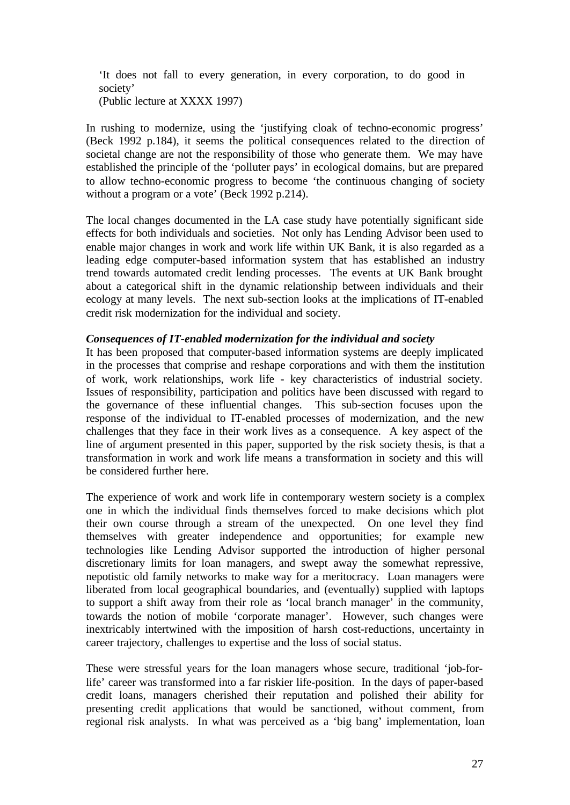'It does not fall to every generation, in every corporation, to do good in society' (Public lecture at XXXX 1997)

In rushing to modernize, using the 'justifying cloak of techno-economic progress' (Beck 1992 p.184), it seems the political consequences related to the direction of societal change are not the responsibility of those who generate them. We may have established the principle of the 'polluter pays' in ecological domains, but are prepared to allow techno-economic progress to become 'the continuous changing of society without a program or a vote' (Beck 1992 p.214).

The local changes documented in the LA case study have potentially significant side effects for both individuals and societies. Not only has Lending Advisor been used to enable major changes in work and work life within UK Bank, it is also regarded as a leading edge computer-based information system that has established an industry trend towards automated credit lending processes. The events at UK Bank brought about a categorical shift in the dynamic relationship between individuals and their ecology at many levels. The next sub-section looks at the implications of IT-enabled credit risk modernization for the individual and society.

#### *Consequences of IT-enabled modernization for the individual and society*

It has been proposed that computer-based information systems are deeply implicated in the processes that comprise and reshape corporations and with them the institution of work, work relationships, work life - key characteristics of industrial society. Issues of responsibility, participation and politics have been discussed with regard to the governance of these influential changes. This sub-section focuses upon the response of the individual to IT-enabled processes of modernization, and the new challenges that they face in their work lives as a consequence. A key aspect of the line of argument presented in this paper, supported by the risk society thesis, is that a transformation in work and work life means a transformation in society and this will be considered further here.

The experience of work and work life in contemporary western society is a complex one in which the individual finds themselves forced to make decisions which plot their own course through a stream of the unexpected. On one level they find themselves with greater independence and opportunities; for example new technologies like Lending Advisor supported the introduction of higher personal discretionary limits for loan managers, and swept away the somewhat repressive, nepotistic old family networks to make way for a meritocracy. Loan managers were liberated from local geographical boundaries, and (eventually) supplied with laptops to support a shift away from their role as 'local branch manager' in the community, towards the notion of mobile 'corporate manager'. However, such changes were inextricably intertwined with the imposition of harsh cost-reductions, uncertainty in career trajectory, challenges to expertise and the loss of social status.

These were stressful years for the loan managers whose secure, traditional 'job-forlife' career was transformed into a far riskier life-position. In the days of paper-based credit loans, managers cherished their reputation and polished their ability for presenting credit applications that would be sanctioned, without comment, from regional risk analysts. In what was perceived as a 'big bang' implementation, loan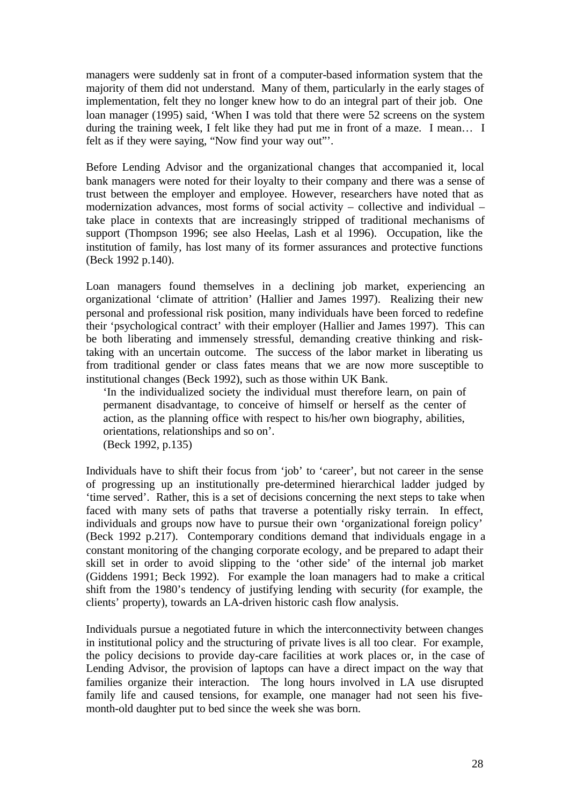managers were suddenly sat in front of a computer-based information system that the majority of them did not understand. Many of them, particularly in the early stages of implementation, felt they no longer knew how to do an integral part of their job. One loan manager (1995) said, 'When I was told that there were 52 screens on the system during the training week, I felt like they had put me in front of a maze. I mean… I felt as if they were saying, "Now find your way out"'.

Before Lending Advisor and the organizational changes that accompanied it, local bank managers were noted for their loyalty to their company and there was a sense of trust between the employer and employee. However, researchers have noted that as modernization advances, most forms of social activity – collective and individual – take place in contexts that are increasingly stripped of traditional mechanisms of support (Thompson 1996; see also Heelas, Lash et al 1996). Occupation, like the institution of family, has lost many of its former assurances and protective functions (Beck 1992 p.140).

Loan managers found themselves in a declining job market, experiencing an organizational 'climate of attrition' (Hallier and James 1997). Realizing their new personal and professional risk position, many individuals have been forced to redefine their 'psychological contract' with their employer (Hallier and James 1997). This can be both liberating and immensely stressful, demanding creative thinking and risktaking with an uncertain outcome. The success of the labor market in liberating us from traditional gender or class fates means that we are now more susceptible to institutional changes (Beck 1992), such as those within UK Bank.

'In the individualized society the individual must therefore learn, on pain of permanent disadvantage, to conceive of himself or herself as the center of action, as the planning office with respect to his/her own biography, abilities, orientations, relationships and so on'.

(Beck 1992, p.135)

Individuals have to shift their focus from 'job' to 'career', but not career in the sense of progressing up an institutionally pre-determined hierarchical ladder judged by 'time served'. Rather, this is a set of decisions concerning the next steps to take when faced with many sets of paths that traverse a potentially risky terrain. In effect, individuals and groups now have to pursue their own 'organizational foreign policy' (Beck 1992 p.217). Contemporary conditions demand that individuals engage in a constant monitoring of the changing corporate ecology, and be prepared to adapt their skill set in order to avoid slipping to the 'other side' of the internal job market (Giddens 1991; Beck 1992). For example the loan managers had to make a critical shift from the 1980's tendency of justifying lending with security (for example, the clients' property), towards an LA-driven historic cash flow analysis.

Individuals pursue a negotiated future in which the interconnectivity between changes in institutional policy and the structuring of private lives is all too clear. For example, the policy decisions to provide day-care facilities at work places or, in the case of Lending Advisor, the provision of laptops can have a direct impact on the way that families organize their interaction. The long hours involved in LA use disrupted family life and caused tensions, for example, one manager had not seen his fivemonth-old daughter put to bed since the week she was born.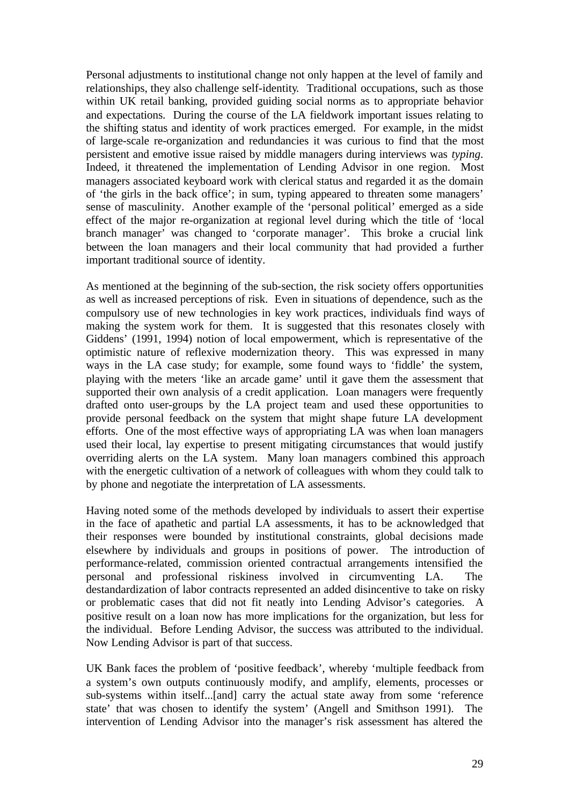Personal adjustments to institutional change not only happen at the level of family and relationships, they also challenge self-identity. Traditional occupations, such as those within UK retail banking, provided guiding social norms as to appropriate behavior and expectations. During the course of the LA fieldwork important issues relating to the shifting status and identity of work practices emerged. For example, in the midst of large-scale re-organization and redundancies it was curious to find that the most persistent and emotive issue raised by middle managers during interviews was *typing*. Indeed, it threatened the implementation of Lending Advisor in one region. Most managers associated keyboard work with clerical status and regarded it as the domain of 'the girls in the back office'; in sum, typing appeared to threaten some managers' sense of masculinity. Another example of the 'personal political' emerged as a side effect of the major re-organization at regional level during which the title of 'local branch manager' was changed to 'corporate manager'. This broke a crucial link between the loan managers and their local community that had provided a further important traditional source of identity.

As mentioned at the beginning of the sub-section, the risk society offers opportunities as well as increased perceptions of risk. Even in situations of dependence, such as the compulsory use of new technologies in key work practices, individuals find ways of making the system work for them. It is suggested that this resonates closely with Giddens' (1991, 1994) notion of local empowerment, which is representative of the optimistic nature of reflexive modernization theory. This was expressed in many ways in the LA case study; for example, some found ways to 'fiddle' the system, playing with the meters 'like an arcade game' until it gave them the assessment that supported their own analysis of a credit application. Loan managers were frequently drafted onto user-groups by the LA project team and used these opportunities to provide personal feedback on the system that might shape future LA development efforts. One of the most effective ways of appropriating LA was when loan managers used their local, lay expertise to present mitigating circumstances that would justify overriding alerts on the LA system. Many loan managers combined this approach with the energetic cultivation of a network of colleagues with whom they could talk to by phone and negotiate the interpretation of LA assessments.

Having noted some of the methods developed by individuals to assert their expertise in the face of apathetic and partial LA assessments, it has to be acknowledged that their responses were bounded by institutional constraints, global decisions made elsewhere by individuals and groups in positions of power. The introduction of performance-related, commission oriented contractual arrangements intensified the personal and professional riskiness involved in circumventing LA. The destandardization of labor contracts represented an added disincentive to take on risky or problematic cases that did not fit neatly into Lending Advisor's categories. A positive result on a loan now has more implications for the organization, but less for the individual. Before Lending Advisor, the success was attributed to the individual. Now Lending Advisor is part of that success.

UK Bank faces the problem of 'positive feedback', whereby 'multiple feedback from a system's own outputs continuously modify, and amplify, elements, processes or sub-systems within itself...[and] carry the actual state away from some 'reference state' that was chosen to identify the system' (Angell and Smithson 1991). The intervention of Lending Advisor into the manager's risk assessment has altered the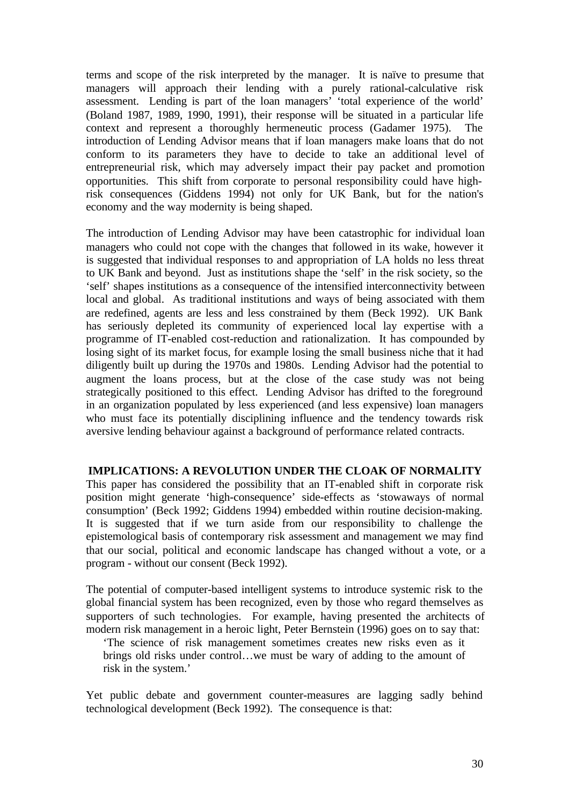terms and scope of the risk interpreted by the manager. It is naïve to presume that managers will approach their lending with a purely rational-calculative risk assessment. Lending is part of the loan managers' 'total experience of the world' (Boland 1987, 1989, 1990, 1991), their response will be situated in a particular life context and represent a thoroughly hermeneutic process (Gadamer 1975). The introduction of Lending Advisor means that if loan managers make loans that do not conform to its parameters they have to decide to take an additional level of entrepreneurial risk, which may adversely impact their pay packet and promotion opportunities. This shift from corporate to personal responsibility could have highrisk consequences (Giddens 1994) not only for UK Bank, but for the nation's economy and the way modernity is being shaped.

The introduction of Lending Advisor may have been catastrophic for individual loan managers who could not cope with the changes that followed in its wake, however it is suggested that individual responses to and appropriation of LA holds no less threat to UK Bank and beyond. Just as institutions shape the 'self' in the risk society, so the 'self' shapes institutions as a consequence of the intensified interconnectivity between local and global. As traditional institutions and ways of being associated with them are redefined, agents are less and less constrained by them (Beck 1992). UK Bank has seriously depleted its community of experienced local lay expertise with a programme of IT-enabled cost-reduction and rationalization. It has compounded by losing sight of its market focus, for example losing the small business niche that it had diligently built up during the 1970s and 1980s. Lending Advisor had the potential to augment the loans process, but at the close of the case study was not being strategically positioned to this effect. Lending Advisor has drifted to the foreground in an organization populated by less experienced (and less expensive) loan managers who must face its potentially disciplining influence and the tendency towards risk aversive lending behaviour against a background of performance related contracts.

#### **IMPLICATIONS: A REVOLUTION UNDER THE CLOAK OF NORMALITY**

This paper has considered the possibility that an IT-enabled shift in corporate risk position might generate 'high-consequence' side-effects as 'stowaways of normal consumption' (Beck 1992; Giddens 1994) embedded within routine decision-making. It is suggested that if we turn aside from our responsibility to challenge the epistemological basis of contemporary risk assessment and management we may find that our social, political and economic landscape has changed without a vote, or a program - without our consent (Beck 1992).

The potential of computer-based intelligent systems to introduce systemic risk to the global financial system has been recognized, even by those who regard themselves as supporters of such technologies. For example, having presented the architects of modern risk management in a heroic light, Peter Bernstein (1996) goes on to say that:

'The science of risk management sometimes creates new risks even as it brings old risks under control…we must be wary of adding to the amount of risk in the system.'

Yet public debate and government counter-measures are lagging sadly behind technological development (Beck 1992). The consequence is that: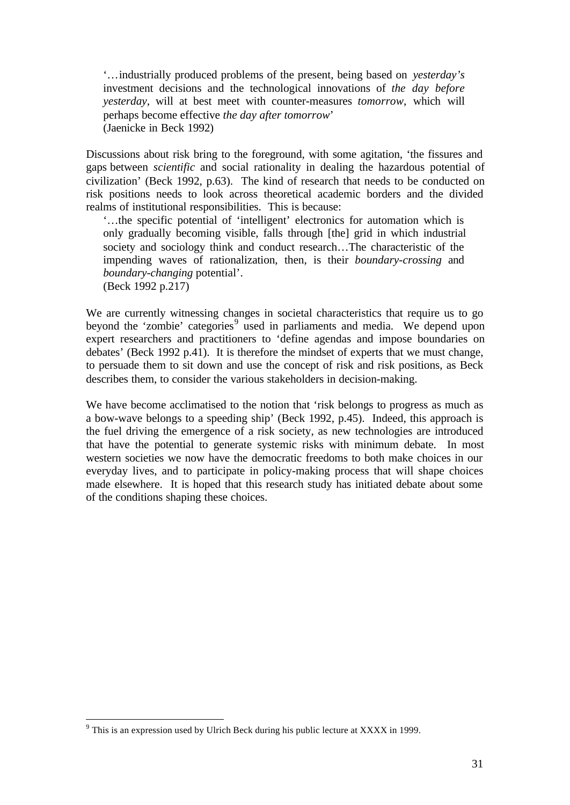'…industrially produced problems of the present, being based on *yesterday's* investment decisions and the technological innovations of *the day before yesterday*, will at best meet with counter-measures *tomorrow*, which will perhaps become effective *the day after tomorrow*' (Jaenicke in Beck 1992)

Discussions about risk bring to the foreground, with some agitation, 'the fissures and gaps between *scientific* and social rationality in dealing the hazardous potential of civilization' (Beck 1992, p.63). The kind of research that needs to be conducted on risk positions needs to look across theoretical academic borders and the divided realms of institutional responsibilities. This is because:

'…the specific potential of 'intelligent' electronics for automation which is only gradually becoming visible, falls through [the] grid in which industrial society and sociology think and conduct research…The characteristic of the impending waves of rationalization, then, is their *boundary-crossing* and *boundary-changing* potential'. (Beck 1992 p.217)

We are currently witnessing changes in societal characteristics that require us to go beyond the 'zombie' categories<sup>9</sup> used in parliaments and media. We depend upon expert researchers and practitioners to 'define agendas and impose boundaries on debates' (Beck 1992 p.41). It is therefore the mindset of experts that we must change, to persuade them to sit down and use the concept of risk and risk positions, as Beck describes them, to consider the various stakeholders in decision-making.

We have become acclimatised to the notion that 'risk belongs to progress as much as a bow-wave belongs to a speeding ship' (Beck 1992, p.45). Indeed, this approach is the fuel driving the emergence of a risk society, as new technologies are introduced that have the potential to generate systemic risks with minimum debate. In most western societies we now have the democratic freedoms to both make choices in our everyday lives, and to participate in policy-making process that will shape choices made elsewhere. It is hoped that this research study has initiated debate about some of the conditions shaping these choices.

l

 $9$  This is an expression used by Ulrich Beck during his public lecture at XXXX in 1999.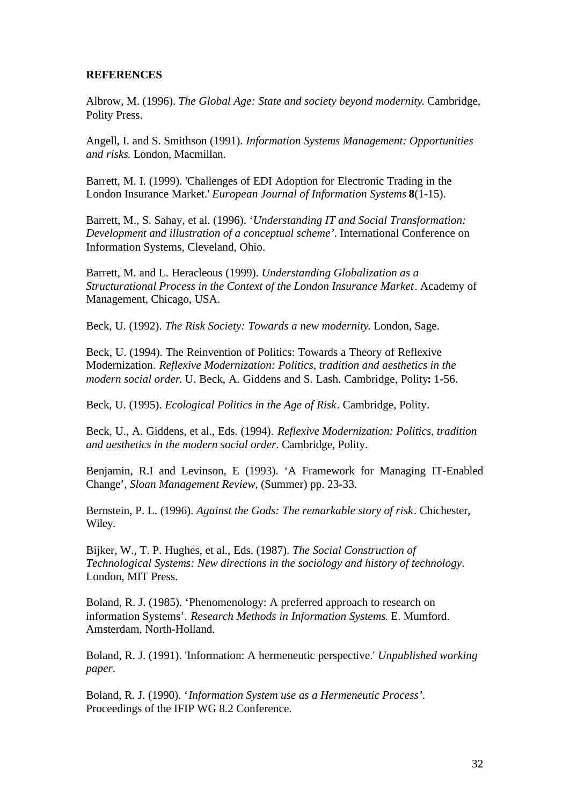#### **REFERENCES**

Albrow, M. (1996). *The Global Age: State and society beyond modernity*. Cambridge, Polity Press.

Angell, I. and S. Smithson (1991). *Information Systems Management: Opportunities and risks*. London, Macmillan.

Barrett, M. I. (1999). 'Challenges of EDI Adoption for Electronic Trading in the London Insurance Market.' *European Journal of Information Systems* **8**(1-15).

Barrett, M., S. Sahay, et al. (1996). '*Understanding IT and Social Transformation: Development and illustration of a conceptual scheme'*. International Conference on Information Systems, Cleveland, Ohio.

Barrett, M. and L. Heracleous (1999). *Understanding Globalization as a Structurational Process in the Context of the London Insurance Market*. Academy of Management, Chicago, USA.

Beck, U. (1992). *The Risk Society: Towards a new modernity*. London, Sage.

Beck, U. (1994). The Reinvention of Politics: Towards a Theory of Reflexive Modernization. *Reflexive Modernization: Politics, tradition and aesthetics in the modern social order*. U. Beck, A. Giddens and S. Lash. Cambridge, Polity**:** 1-56.

Beck, U. (1995). *Ecological Politics in the Age of Risk*. Cambridge, Polity.

Beck, U., A. Giddens, et al., Eds. (1994). *Reflexive Modernization: Politics, tradition and aesthetics in the modern social order*. Cambridge, Polity.

Benjamin, R.I and Levinson, E (1993). 'A Framework for Managing IT-Enabled Change', *Sloan Management Review*, (Summer) pp. 23-33.

Bernstein, P. L. (1996). *Against the Gods: The remarkable story of risk*. Chichester, Wiley.

Bijker, W., T. P. Hughes, et al., Eds. (1987). *The Social Construction of Technological Systems: New directions in the sociology and history of technology*. London, MIT Press.

Boland, R. J. (1985). 'Phenomenology: A preferred approach to research on information Systems'. *Research Methods in Information Systems*. E. Mumford. Amsterdam, North-Holland.

Boland, R. J. (1991). 'Information: A hermeneutic perspective.' *Unpublished working paper*.

Boland, R. J. (1990). '*Information System use as a Hermeneutic Process'*. Proceedings of the IFIP WG 8.2 Conference.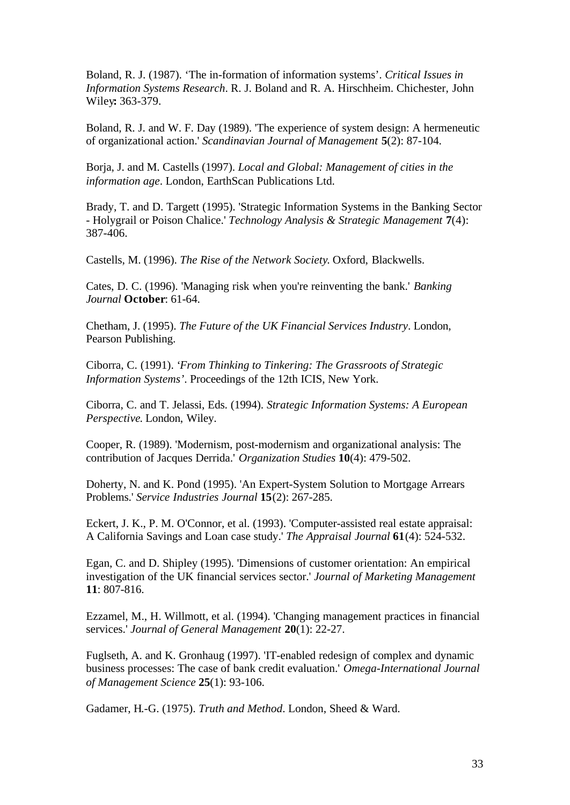Boland, R. J. (1987). 'The in-formation of information systems'. *Critical Issues in Information Systems Research*. R. J. Boland and R. A. Hirschheim. Chichester, John Wiley**:** 363-379.

Boland, R. J. and W. F. Day (1989). 'The experience of system design: A hermeneutic of organizational action.' *Scandinavian Journal of Management* **5**(2): 87-104.

Borja, J. and M. Castells (1997). *Local and Global: Management of cities in the information age*. London, EarthScan Publications Ltd.

Brady, T. and D. Targett (1995). 'Strategic Information Systems in the Banking Sector - Holygrail or Poison Chalice.' *Technology Analysis & Strategic Management* **7**(4): 387-406.

Castells, M. (1996). *The Rise of the Network Society*. Oxford, Blackwells.

Cates, D. C. (1996). 'Managing risk when you're reinventing the bank.' *Banking Journal* **October**: 61-64.

Chetham, J. (1995). *The Future of the UK Financial Services Industry*. London, Pearson Publishing.

Ciborra, C. (1991). '*From Thinking to Tinkering: The Grassroots of Strategic Information Systems'*. Proceedings of the 12th ICIS, New York.

Ciborra, C. and T. Jelassi, Eds. (1994). *Strategic Information Systems: A European Perspective*. London, Wiley.

Cooper, R. (1989). 'Modernism, post-modernism and organizational analysis: The contribution of Jacques Derrida.' *Organization Studies* **10**(4): 479-502.

Doherty, N. and K. Pond (1995). 'An Expert-System Solution to Mortgage Arrears Problems.' *Service Industries Journal* **15**(2): 267-285.

Eckert, J. K., P. M. O'Connor, et al. (1993). 'Computer-assisted real estate appraisal: A California Savings and Loan case study.' *The Appraisal Journal* **61**(4): 524-532.

Egan, C. and D. Shipley (1995). 'Dimensions of customer orientation: An empirical investigation of the UK financial services sector.' *Journal of Marketing Management* **11**: 807-816.

Ezzamel, M., H. Willmott, et al. (1994). 'Changing management practices in financial services.' *Journal of General Management* **20**(1): 22-27.

Fuglseth, A. and K. Gronhaug (1997). 'IT-enabled redesign of complex and dynamic business processes: The case of bank credit evaluation.' *Omega-International Journal of Management Science* **25**(1): 93-106.

Gadamer, H.-G. (1975). *Truth and Method*. London, Sheed & Ward.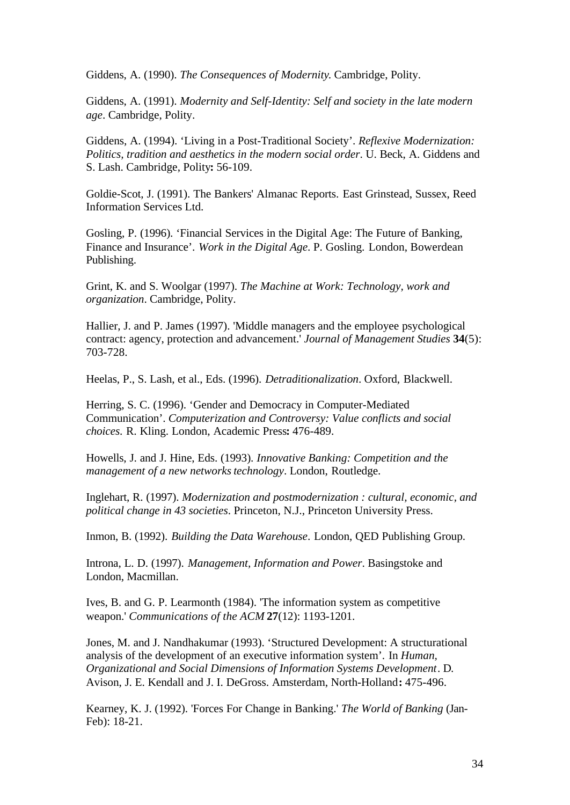Giddens, A. (1990). *The Consequences of Modernity*. Cambridge, Polity.

Giddens, A. (1991). *Modernity and Self-Identity: Self and society in the late modern age*. Cambridge, Polity.

Giddens, A. (1994). 'Living in a Post-Traditional Society'. *Reflexive Modernization: Politics, tradition and aesthetics in the modern social order*. U. Beck, A. Giddens and S. Lash. Cambridge, Polity**:** 56-109.

Goldie-Scot, J. (1991). The Bankers' Almanac Reports. East Grinstead, Sussex, Reed Information Services Ltd.

Gosling, P. (1996). 'Financial Services in the Digital Age: The Future of Banking, Finance and Insurance'. *Work in the Digital Age*. P. Gosling. London, Bowerdean Publishing.

Grint, K. and S. Woolgar (1997). *The Machine at Work: Technology, work and organization*. Cambridge, Polity.

Hallier, J. and P. James (1997). 'Middle managers and the employee psychological contract: agency, protection and advancement.' *Journal of Management Studies* **34**(5): 703-728.

Heelas, P., S. Lash, et al., Eds. (1996). *Detraditionalization*. Oxford, Blackwell.

Herring, S. C. (1996). 'Gender and Democracy in Computer-Mediated Communication'. *Computerization and Controversy: Value conflicts and social choices*. R. Kling. London, Academic Press**:** 476-489.

Howells, J. and J. Hine, Eds. (1993). *Innovative Banking: Competition and the management of a new networks technology*. London, Routledge.

Inglehart, R. (1997). *Modernization and postmodernization : cultural, economic, and political change in 43 societies*. Princeton, N.J., Princeton University Press.

Inmon, B. (1992). *Building the Data Warehouse*. London, QED Publishing Group.

Introna, L. D. (1997). *Management, Information and Power*. Basingstoke and London, Macmillan.

Ives, B. and G. P. Learmonth (1984). 'The information system as competitive weapon.' *Communications of the ACM* **27**(12): 1193-1201.

Jones, M. and J. Nandhakumar (1993). 'Structured Development: A structurational analysis of the development of an executive information system'. In *Human, Organizational and Social Dimensions of Information Systems Development*. D. Avison, J. E. Kendall and J. I. DeGross. Amsterdam, North-Holland**:** 475-496.

Kearney, K. J. (1992). 'Forces For Change in Banking.' *The World of Banking* (Jan-Feb): 18-21.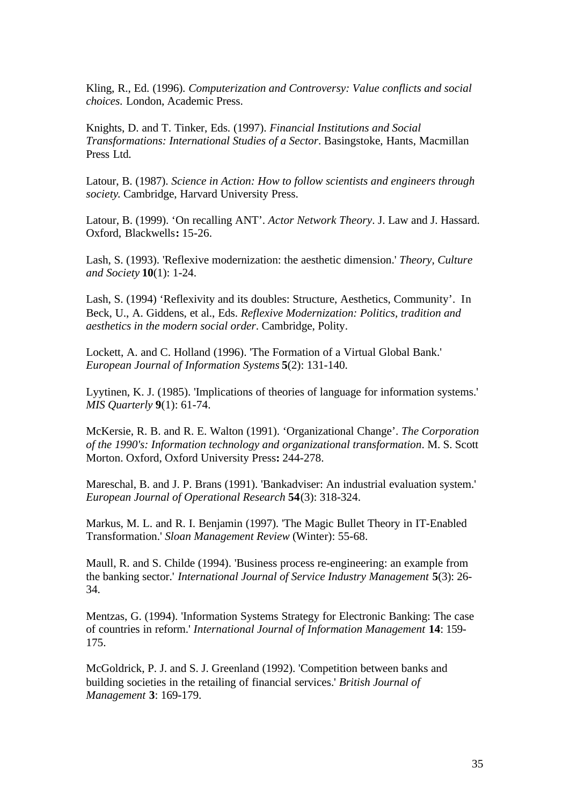Kling, R., Ed. (1996). *Computerization and Controversy: Value conflicts and social choices*. London, Academic Press.

Knights, D. and T. Tinker, Eds. (1997). *Financial Institutions and Social Transformations: International Studies of a Sector*. Basingstoke, Hants, Macmillan Press Ltd.

Latour, B. (1987). *Science in Action: How to follow scientists and engineers through society*. Cambridge, Harvard University Press.

Latour, B. (1999). 'On recalling ANT'. *Actor Network Theory*. J. Law and J. Hassard. Oxford, Blackwells**:** 15-26.

Lash, S. (1993). 'Reflexive modernization: the aesthetic dimension.' *Theory, Culture and Society* **10**(1): 1-24.

Lash, S. (1994) 'Reflexivity and its doubles: Structure, Aesthetics, Community'. In Beck, U., A. Giddens, et al., Eds. *Reflexive Modernization: Politics, tradition and aesthetics in the modern social order*. Cambridge, Polity.

Lockett, A. and C. Holland (1996). 'The Formation of a Virtual Global Bank.' *European Journal of Information Systems* **5**(2): 131-140.

Lyytinen, K. J. (1985). 'Implications of theories of language for information systems.' *MIS Quarterly* **9**(1): 61-74.

McKersie, R. B. and R. E. Walton (1991). 'Organizational Change'. *The Corporation of the 1990's: Information technology and organizational transformation*. M. S. Scott Morton. Oxford, Oxford University Press**:** 244-278.

Mareschal, B. and J. P. Brans (1991). 'Bankadviser: An industrial evaluation system.' *European Journal of Operational Research* **54**(3): 318-324.

Markus, M. L. and R. I. Benjamin (1997). 'The Magic Bullet Theory in IT-Enabled Transformation.' *Sloan Management Review* (Winter): 55-68.

Maull, R. and S. Childe (1994). 'Business process re-engineering: an example from the banking sector.' *International Journal of Service Industry Management* **5**(3): 26- 34.

Mentzas, G. (1994). 'Information Systems Strategy for Electronic Banking: The case of countries in reform.' *International Journal of Information Management* **14**: 159- 175.

McGoldrick, P. J. and S. J. Greenland (1992). 'Competition between banks and building societies in the retailing of financial services.' *British Journal of Management* **3**: 169-179.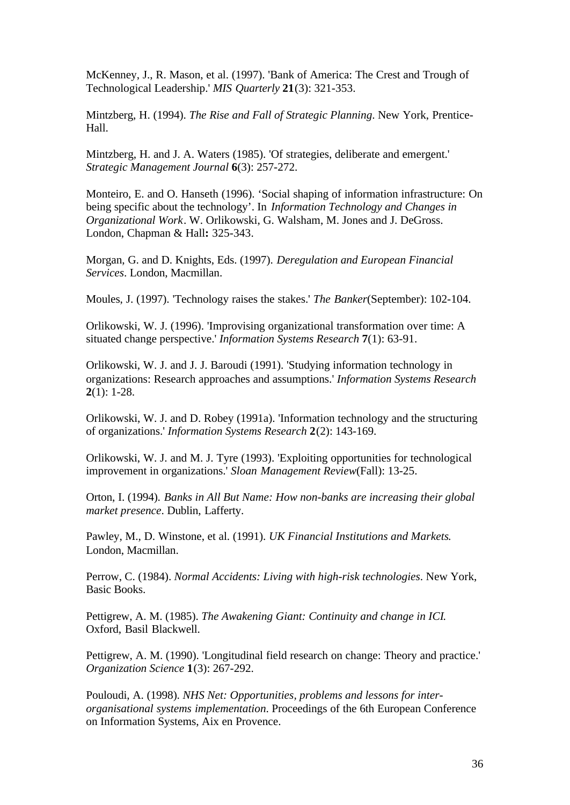McKenney, J., R. Mason, et al. (1997). 'Bank of America: The Crest and Trough of Technological Leadership.' *MIS Quarterly* **21**(3): 321-353.

Mintzberg, H. (1994). *The Rise and Fall of Strategic Planning*. New York, Prentice-Hall.

Mintzberg, H. and J. A. Waters (1985). 'Of strategies, deliberate and emergent.' *Strategic Management Journal* **6**(3): 257-272.

Monteiro, E. and O. Hanseth (1996). 'Social shaping of information infrastructure: On being specific about the technology'. In *Information Technology and Changes in Organizational Work*. W. Orlikowski, G. Walsham, M. Jones and J. DeGross. London, Chapman & Hall**:** 325-343.

Morgan, G. and D. Knights, Eds. (1997). *Deregulation and European Financial Services*. London, Macmillan.

Moules, J. (1997). 'Technology raises the stakes.' *The Banker*(September): 102-104.

Orlikowski, W. J. (1996). 'Improvising organizational transformation over time: A situated change perspective.' *Information Systems Research* **7**(1): 63-91.

Orlikowski, W. J. and J. J. Baroudi (1991). 'Studying information technology in organizations: Research approaches and assumptions.' *Information Systems Research* **2**(1): 1-28.

Orlikowski, W. J. and D. Robey (1991a). 'Information technology and the structuring of organizations.' *Information Systems Research* **2**(2): 143-169.

Orlikowski, W. J. and M. J. Tyre (1993). 'Exploiting opportunities for technological improvement in organizations.' *Sloan Management Review*(Fall): 13-25.

Orton, I. (1994). *Banks in All But Name: How non-banks are increasing their global market presence*. Dublin, Lafferty.

Pawley, M., D. Winstone, et al. (1991). *UK Financial Institutions and Markets*. London, Macmillan.

Perrow, C. (1984). *Normal Accidents: Living with high-risk technologies*. New York, Basic Books.

Pettigrew, A. M. (1985). *The Awakening Giant: Continuity and change in ICI*. Oxford, Basil Blackwell.

Pettigrew, A. M. (1990). 'Longitudinal field research on change: Theory and practice.' *Organization Science* **1**(3): 267-292.

Pouloudi, A. (1998). *NHS Net: Opportunities, problems and lessons for interorganisational systems implementation*. Proceedings of the 6th European Conference on Information Systems, Aix en Provence.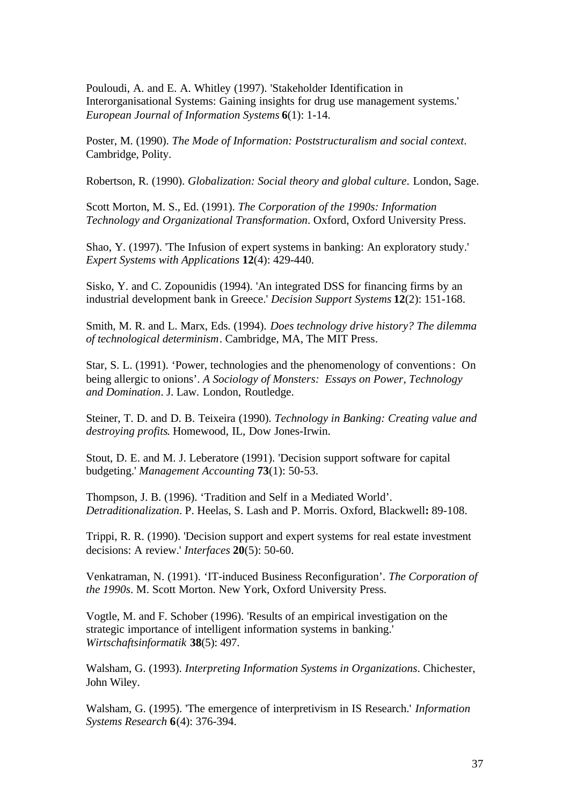Pouloudi, A. and E. A. Whitley (1997). 'Stakeholder Identification in Interorganisational Systems: Gaining insights for drug use management systems.' *European Journal of Information Systems* **6**(1): 1-14.

Poster, M. (1990). *The Mode of Information: Poststructuralism and social context*. Cambridge, Polity.

Robertson, R. (1990). *Globalization: Social theory and global culture*. London, Sage.

Scott Morton, M. S., Ed. (1991). *The Corporation of the 1990s: Information Technology and Organizational Transformation*. Oxford, Oxford University Press.

Shao, Y. (1997). 'The Infusion of expert systems in banking: An exploratory study.' *Expert Systems with Applications* **12**(4): 429-440.

Sisko, Y. and C. Zopounidis (1994). 'An integrated DSS for financing firms by an industrial development bank in Greece.' *Decision Support Systems* **12**(2): 151-168.

Smith, M. R. and L. Marx, Eds. (1994). *Does technology drive history? The dilemma of technological determinism*. Cambridge, MA, The MIT Press.

Star, S. L. (1991). 'Power, technologies and the phenomenology of conventions: On being allergic to onions'. *A Sociology of Monsters: Essays on Power, Technology and Domination*. J. Law. London, Routledge.

Steiner, T. D. and D. B. Teixeira (1990). *Technology in Banking: Creating value and destroying profits*. Homewood, IL, Dow Jones-Irwin.

Stout, D. E. and M. J. Leberatore (1991). 'Decision support software for capital budgeting.' *Management Accounting* **73**(1): 50-53.

Thompson, J. B. (1996). 'Tradition and Self in a Mediated World'. *Detraditionalization*. P. Heelas, S. Lash and P. Morris. Oxford, Blackwell**:** 89-108.

Trippi, R. R. (1990). 'Decision support and expert systems for real estate investment decisions: A review.' *Interfaces* **20**(5): 50-60.

Venkatraman, N. (1991). 'IT-induced Business Reconfiguration'. *The Corporation of the 1990s*. M. Scott Morton. New York, Oxford University Press.

Vogtle, M. and F. Schober (1996). 'Results of an empirical investigation on the strategic importance of intelligent information systems in banking.' *Wirtschaftsinformatik* **38**(5): 497.

Walsham, G. (1993). *Interpreting Information Systems in Organizations*. Chichester, John Wiley.

Walsham, G. (1995). 'The emergence of interpretivism in IS Research.' *Information Systems Research* **6**(4): 376-394.